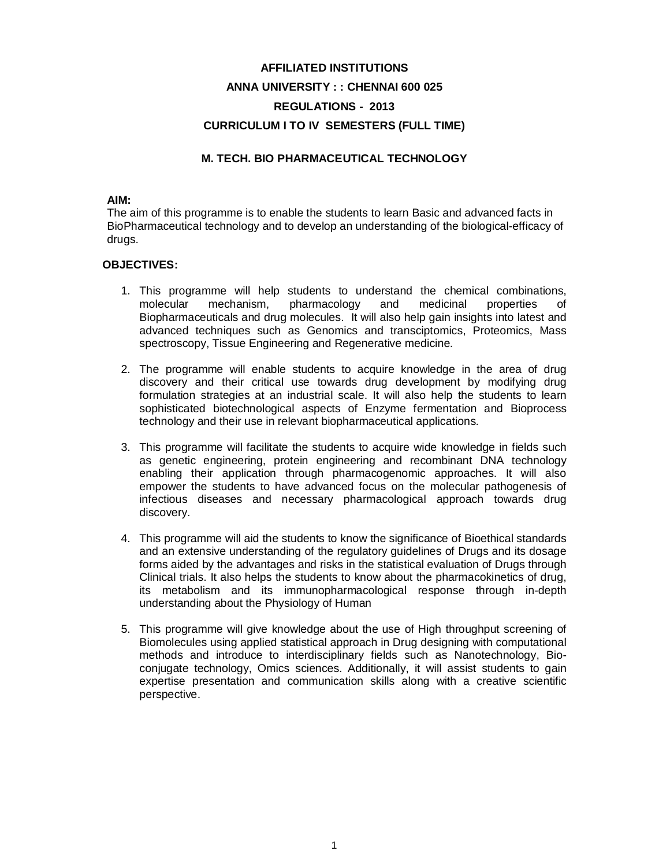# **AFFILIATED INSTITUTIONS ANNA UNIVERSITY : : CHENNAI 600 025 REGULATIONS - 2013 CURRICULUM I TO IV SEMESTERS (FULL TIME)**

### **M. TECH. BIO PHARMACEUTICAL TECHNOLOGY**

### **AIM:**

The aim of this programme is to enable the students to learn Basic and advanced facts in BioPharmaceutical technology and to develop an understanding of the biological-efficacy of drugs.

### **OBJECTIVES:**

- 1. This programme will help students to understand the chemical combinations, molecular mechanism, pharmacology and medicinal properties of Biopharmaceuticals and drug molecules. It will also help gain insights into latest and advanced techniques such as Genomics and transciptomics, Proteomics, Mass spectroscopy, Tissue Engineering and Regenerative medicine.
- 2. The programme will enable students to acquire knowledge in the area of drug discovery and their critical use towards drug development by modifying drug formulation strategies at an industrial scale. It will also help the students to learn sophisticated biotechnological aspects of Enzyme fermentation and Bioprocess technology and their use in relevant biopharmaceutical applications.
- 3. This programme will facilitate the students to acquire wide knowledge in fields such as genetic engineering, protein engineering and recombinant DNA technology enabling their application through pharmacogenomic approaches. It will also empower the students to have advanced focus on the molecular pathogenesis of infectious diseases and necessary pharmacological approach towards drug discovery.
- 4. This programme will aid the students to know the significance of Bioethical standards and an extensive understanding of the regulatory guidelines of Drugs and its dosage forms aided by the advantages and risks in the statistical evaluation of Drugs through Clinical trials. It also helps the students to know about the pharmacokinetics of drug, its metabolism and its immunopharmacological response through in-depth understanding about the Physiology of Human
- 5. This programme will give knowledge about the use of High throughput screening of Biomolecules using applied statistical approach in Drug designing with computational methods and introduce to interdisciplinary fields such as Nanotechnology, Bioconjugate technology, Omics sciences. Additionally, it will assist students to gain expertise presentation and communication skills along with a creative scientific perspective.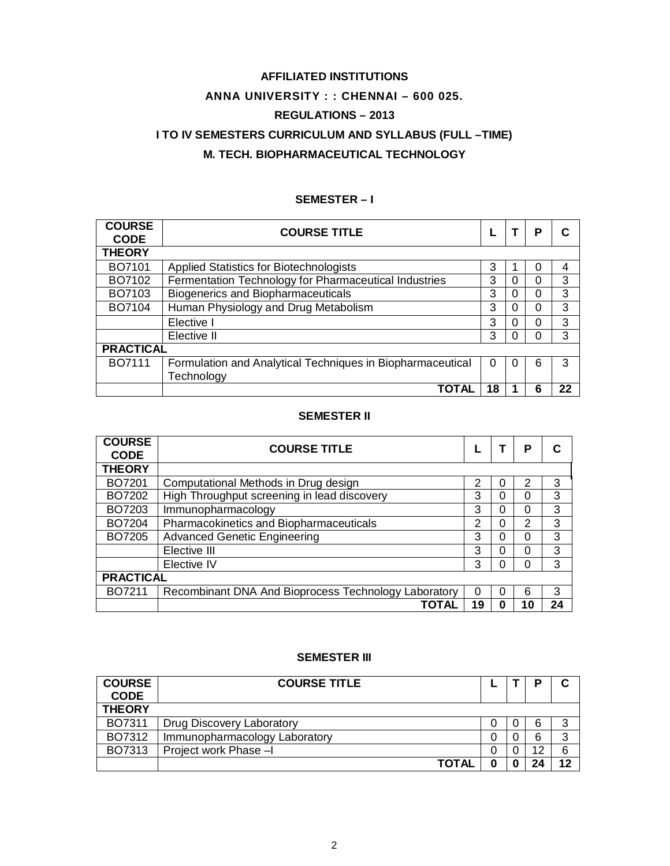# **AFFILIATED INSTITUTIONS ANNA UNIVERSITY : : CHENNAI – 600 025. REGULATIONS – 2013 I TO IV SEMESTERS CURRICULUM AND SYLLABUS (FULL –TIME) M. TECH. BIOPHARMACEUTICAL TECHNOLOGY**

### **SEMESTER – I**

| <b>COURSE</b><br><b>CODE</b> | <b>COURSE TITLE</b>                                        |    |   | Р        |    |
|------------------------------|------------------------------------------------------------|----|---|----------|----|
| <b>THEORY</b>                |                                                            |    |   |          |    |
| BO7101                       | <b>Applied Statistics for Biotechnologists</b>             | 3  |   |          | 4  |
| BO7102                       | Fermentation Technology for Pharmaceutical Industries      | 3  | 0 | 0        | 3  |
| BO7103                       | <b>Biogenerics and Biopharmaceuticals</b>                  | 3  | 0 | 0        | 3  |
| BO7104                       | Human Physiology and Drug Metabolism                       | 3  |   | 0        | 3  |
|                              | Elective I                                                 | 3  | 0 | $\Omega$ | 3  |
|                              | Elective II                                                | 3  |   | 0        | 3  |
| <b>PRACTICAL</b>             |                                                            |    |   |          |    |
| BO7111                       | Formulation and Analytical Techniques in Biopharmaceutical | 0  |   | 6        | 3  |
|                              | Technology                                                 |    |   |          |    |
|                              | ΤΟΤΑΙ                                                      | 18 |   | 6        | 22 |

### **SEMESTER II**

| <b>COURSE</b><br><b>CODE</b> | <b>COURSE TITLE</b>                                  |    |   | Р        |    |
|------------------------------|------------------------------------------------------|----|---|----------|----|
| <b>THEORY</b>                |                                                      |    |   |          |    |
| BO7201                       | Computational Methods in Drug design                 | 2  |   | 2        | 3  |
| BO7202                       | High Throughput screening in lead discovery          | 3  | 0 | 0        | 3  |
| BO7203                       | Immunopharmacology                                   | 3  | 0 | 0        | 3  |
| BO7204                       | Pharmacokinetics and Biopharmaceuticals              | 2  | 0 | 2        | 3  |
| BO7205                       | <b>Advanced Genetic Engineering</b>                  | 3  | 0 | 0        | 3  |
|                              | Elective III                                         | 3  | 0 | 0        | 3  |
|                              | Elective IV                                          | 3  |   | $\Omega$ | 3  |
| <b>PRACTICAL</b>             |                                                      |    |   |          |    |
| BO7211                       | Recombinant DNA And Bioprocess Technology Laboratory | 0  | O | 6        | 3  |
|                              | TOTAL                                                | 19 | 0 | 10       | 24 |

### **SEMESTER III**

| <b>COURSE</b><br><b>CODE</b> | <b>COURSE TITLE</b>           |  | P  | ◠  |
|------------------------------|-------------------------------|--|----|----|
| <b>THEORY</b>                |                               |  |    |    |
| BO7311                       | Drug Discovery Laboratory     |  | 6  | 3  |
| BO7312                       | Immunopharmacology Laboratory |  | 6  | 3  |
| BO7313                       | Project work Phase -I         |  | 12 | 6  |
|                              | <b>TOTAL</b>                  |  | 24 | 12 |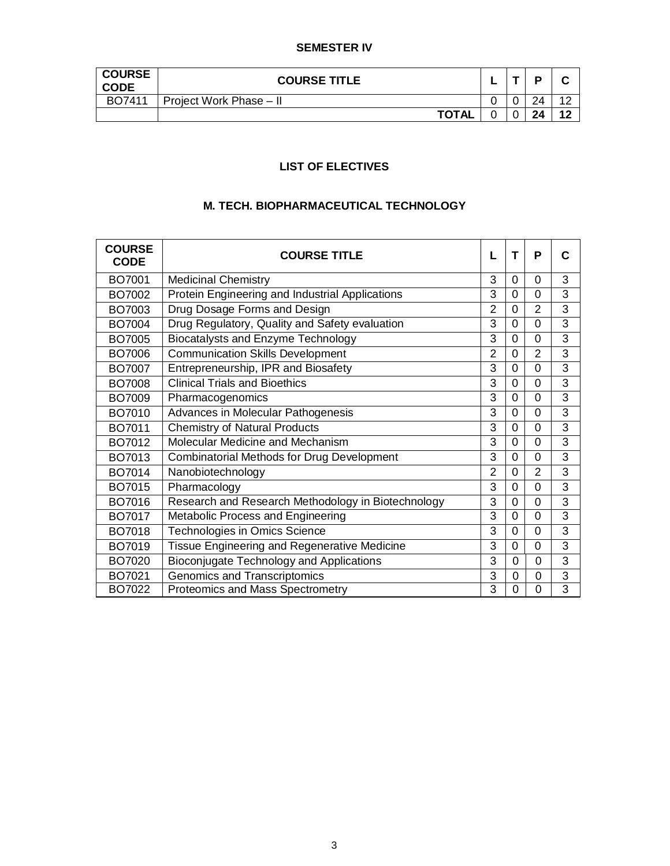### **SEMESTER IV**

| <b>COURSE</b><br><b>CODE</b> | <b>COURSE TITLE</b>     |  | D  | ີ         |
|------------------------------|-------------------------|--|----|-----------|
| BO7411                       | Project Work Phase - II |  | 24 | $\Lambda$ |
|                              | <b>TOTAL</b>            |  | 24 | 12        |

# **LIST OF ELECTIVES**

### **M. TECH. BIOPHARMACEUTICAL TECHNOLOGY**

| <b>COURSE</b><br><b>CODE</b> | <b>COURSE TITLE</b>                                | L              | т           | P              | С |
|------------------------------|----------------------------------------------------|----------------|-------------|----------------|---|
| BO7001                       | <b>Medicinal Chemistry</b>                         | 3              | $\Omega$    | $\Omega$       | 3 |
| BO7002                       | Protein Engineering and Industrial Applications    | 3              | $\Omega$    | 0              | 3 |
| BO7003                       | Drug Dosage Forms and Design                       | $\overline{2}$ | $\Omega$    | $\overline{2}$ | 3 |
| BO7004                       | Drug Regulatory, Quality and Safety evaluation     | 3              | $\Omega$    | $\Omega$       | 3 |
| BO7005                       | <b>Biocatalysts and Enzyme Technology</b>          | 3              | $\Omega$    | $\Omega$       | 3 |
| BO7006                       | <b>Communication Skills Development</b>            | $\overline{2}$ | $\Omega$    | $\overline{2}$ | 3 |
| BO7007                       | Entrepreneurship, IPR and Biosafety                | 3              | 0           | $\overline{0}$ | 3 |
| <b>BO7008</b>                | <b>Clinical Trials and Bioethics</b>               | 3              | 0           | $\overline{0}$ | 3 |
| BO7009                       | Pharmacogenomics                                   | 3              | 0           | $\Omega$       | 3 |
| BO7010                       | Advances in Molecular Pathogenesis                 | 3              | $\Omega$    | $\Omega$       | 3 |
| BO7011                       | <b>Chemistry of Natural Products</b>               | 3              | $\Omega$    | $\Omega$       | 3 |
| BO7012                       | Molecular Medicine and Mechanism                   | 3              | $\Omega$    | 0              | 3 |
| BO7013                       | <b>Combinatorial Methods for Drug Development</b>  | 3              | $\Omega$    | 0              | 3 |
| BO7014                       | Nanobiotechnology                                  | $\overline{2}$ | $\Omega$    | $\overline{2}$ | 3 |
| BO7015                       | Pharmacology                                       | 3              | $\Omega$    | $\Omega$       | 3 |
| BO7016                       | Research and Research Methodology in Biotechnology | 3              | $\mathbf 0$ | $\overline{0}$ | 3 |
| BO7017                       | Metabolic Process and Engineering                  | $\overline{3}$ | $\Omega$    | $\overline{0}$ | 3 |
| BO7018                       | Technologies in Omics Science                      | 3              | 0           | 0              | 3 |
| BO7019                       | Tissue Engineering and Regenerative Medicine       | 3              | 0           | $\overline{0}$ | 3 |
| BO7020                       | Bioconjugate Technology and Applications           | 3              | $\Omega$    | $\mathbf 0$    | 3 |
| BO7021                       | Genomics and Transcriptomics                       | 3              | 0           | $\mathbf 0$    | 3 |
| BO7022                       | <b>Proteomics and Mass Spectrometry</b>            | 3              | 0           | $\mathbf 0$    | 3 |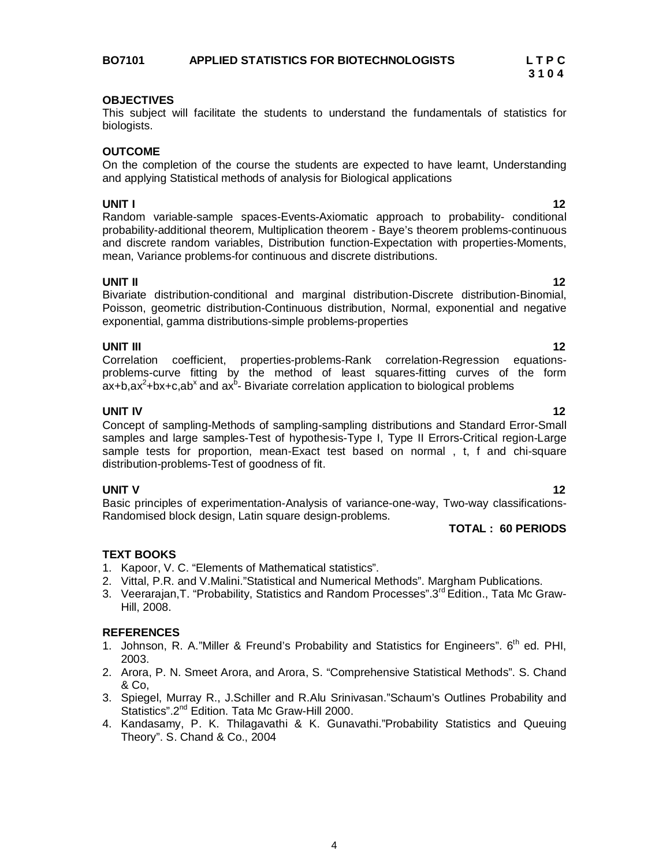### **BO7101 APPLIED STATISTICS FOR BIOTECHNOLOGISTS L T P C**

### **OBJECTIVES**

This subject will facilitate the students to understand the fundamentals of statistics for biologists.

### **OUTCOME**

On the completion of the course the students are expected to have learnt, Understanding and applying Statistical methods of analysis for Biological applications

**UNIT I** 122 **I** Random variable-sample spaces-Events-Axiomatic approach to probability- conditional probability-additional theorem, Multiplication theorem - Baye's theorem problems-continuous and discrete random variables, Distribution function-Expectation with properties-Moments, mean, Variance problems-for continuous and discrete distributions.

**UNIT II** 12 Bivariate distribution-conditional and marginal distribution-Discrete distribution-Binomial, Poisson, geometric distribution-Continuous distribution, Normal, exponential and negative exponential, gamma distributions-simple problems-properties

### **UNIT III** 12

Correlation coefficient, properties-problems-Rank correlation-Regression equationsproblems-curve fitting by the method of least squares-fitting curves of the form  $ax + b$ ,ax $2 + bx + c$ ,ab<sup>x</sup> and ax $b - B$ ivariate correlation application to biological problems

### **UNIT IV 12**

Concept of sampling-Methods of sampling-sampling distributions and Standard Error-Small samples and large samples-Test of hypothesis-Type I, Type II Errors-Critical region-Large sample tests for proportion, mean-Exact test based on normal , t, f and chi-square distribution-problems-Test of goodness of fit.

### **UNIT V 12**

Basic principles of experimentation-Analysis of variance-one-way, Two-way classifications-Randomised block design, Latin square design-problems.

### **TOTAL : 60 PERIODS**

### **TEXT BOOKS**

- 1. Kapoor, V. C. "Elements of Mathematical statistics".
- 2. Vittal, P.R. and V.Malini."Statistical and Numerical Methods". Margham Publications.
- 3. Veerarajan, T. "Probability, Statistics and Random Processes".3<sup>rd</sup> Edition., Tata Mc Graw-Hill, 2008.

### **REFERENCES**

- 1. Johnson, R. A."Miller & Freund's Probability and Statistics for Engineers". 6<sup>th</sup> ed. PHI, 2003.
- 2. Arora, P. N. Smeet Arora, and Arora, S. "Comprehensive Statistical Methods". S. Chand & Co,
- 3. Spiegel, Murray R., J.Schiller and R.Alu Srinivasan."Schaum's Outlines Probability and Statistics".2<sup>nd</sup> Edition. Tata Mc Graw-Hill 2000.
- 4. Kandasamy, P. K. Thilagavathi & K. Gunavathi."Probability Statistics and Queuing Theory". S. Chand & Co., 2004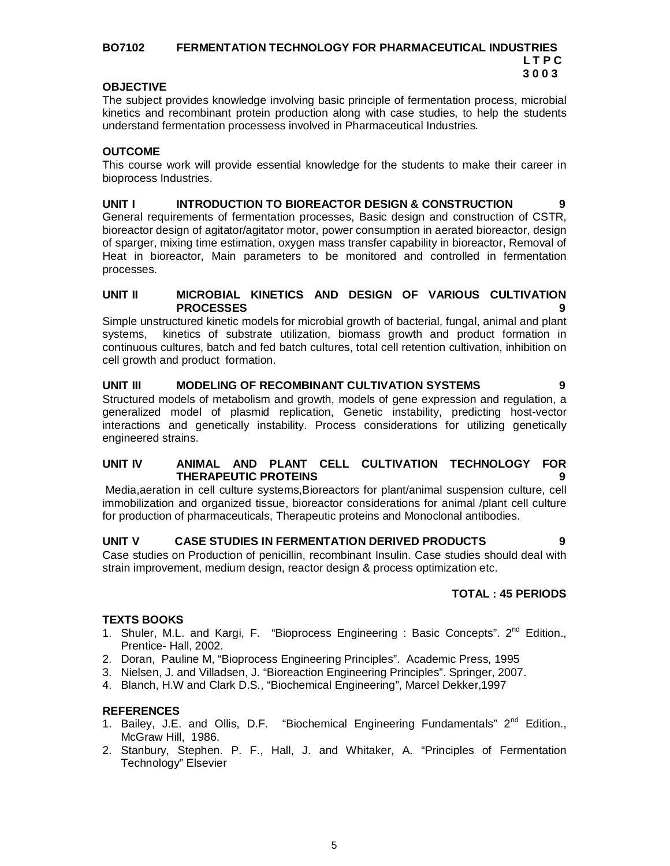### **BO7102 FERMENTATION TECHNOLOGY FOR PHARMACEUTICAL INDUSTRIES L T P C 3 0 0 3**

### **OBJECTIVE**

The subject provides knowledge involving basic principle of fermentation process, microbial kinetics and recombinant protein production along with case studies, to help the students understand fermentation processess involved in Pharmaceutical Industries.

### **OUTCOME**

This course work will provide essential knowledge for the students to make their career in bioprocess Industries.

### **UNIT I INTRODUCTION TO BIOREACTOR DESIGN & CONSTRUCTION 9**

General requirements of fermentation processes, Basic design and construction of CSTR, bioreactor design of agitator/agitator motor, power consumption in aerated bioreactor, design of sparger, mixing time estimation, oxygen mass transfer capability in bioreactor, Removal of Heat in bioreactor, Main parameters to be monitored and controlled in fermentation processes.

### **UNIT II MICROBIAL KINETICS AND DESIGN OF VARIOUS CULTIVATION PROCESSES 9**

Simple unstructured kinetic models for microbial growth of bacterial, fungal, animal and plant systems, kinetics of substrate utilization, biomass growth and product formation in continuous cultures, batch and fed batch cultures, total cell retention cultivation, inhibition on cell growth and product formation.

### **UNIT III MODELING OF RECOMBINANT CULTIVATION SYSTEMS 9**

Structured models of metabolism and growth, models of gene expression and regulation, a generalized model of plasmid replication, Genetic instability, predicting host-vector interactions and genetically instability. Process considerations for utilizing genetically engineered strains.

### **UNIT IV ANIMAL AND PLANT CELL CULTIVATION TECHNOLOGY FOR THERAPEUTIC PROTEINS 9**

Media,aeration in cell culture systems,Bioreactors for plant/animal suspension culture, cell immobilization and organized tissue, bioreactor considerations for animal /plant cell culture for production of pharmaceuticals, Therapeutic proteins and Monoclonal antibodies.

### **UNIT V CASE STUDIES IN FERMENTATION DERIVED PRODUCTS 9**

Case studies on Production of penicillin, recombinant Insulin. Case studies should deal with strain improvement, medium design, reactor design & process optimization etc.

### **TOTAL : 45 PERIODS**

### **TEXTS BOOKS**

- 1. Shuler, M.L. and Kargi, F. "Bioprocess Engineering : Basic Concepts". 2<sup>nd</sup> Edition., Prentice- Hall, 2002.
- 2. Doran, Pauline M, "Bioprocess Engineering Principles". Academic Press, 1995
- 3. Nielsen, J. and Villadsen, J. "Bioreaction Engineering Principles". Springer, 2007.
- 4. Blanch, H.W and Clark D.S., "Biochemical Engineering", Marcel Dekker,1997

### **REFERENCES**

- 1. Bailey, J.E. and Ollis, D.F. "Biochemical Engineering Fundamentals" 2nd Edition., McGraw Hill, 1986.
- 2. Stanbury, Stephen. P. F., Hall, J. and Whitaker, A. "Principles of Fermentation Technology" Elsevier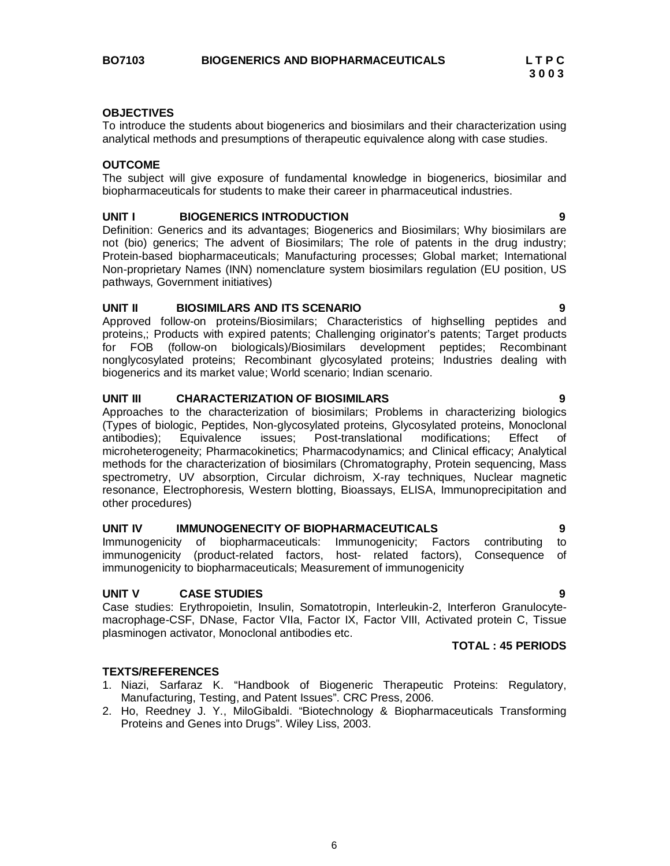### **OBJECTIVES**

To introduce the students about biogenerics and biosimilars and their characterization using analytical methods and presumptions of therapeutic equivalence along with case studies.

### **OUTCOME**

The subject will give exposure of fundamental knowledge in biogenerics, biosimilar and biopharmaceuticals for students to make their career in pharmaceutical industries.

### **UNIT I BIOGENERICS INTRODUCTION 9**

Definition: Generics and its advantages; Biogenerics and Biosimilars; Why biosimilars are not (bio) generics; The advent of Biosimilars; The role of patents in the drug industry; Protein-based biopharmaceuticals; Manufacturing processes; Global market; International Non-proprietary Names (INN) nomenclature system biosimilars regulation (EU position, US pathways, Government initiatives)

### **UNIT II BIOSIMILARS AND ITS SCENARIO 9**

Approved follow-on proteins/Biosimilars; Characteristics of highselling peptides and proteins,; Products with expired patents; Challenging originator's patents; Target products for FOB (follow-on biologicals)/Biosimilars development peptides; Recombinant nonglycosylated proteins; Recombinant glycosylated proteins; Industries dealing with biogenerics and its market value; World scenario; Indian scenario.

### **UNIT III CHARACTERIZATION OF BIOSIMILARS 9**

Approaches to the characterization of biosimilars; Problems in characterizing biologics (Types of biologic, Peptides, Non-glycosylated proteins, Glycosylated proteins, Monoclonal antibodies); Equivalence issues; Post-translational modifications; Effect of microheterogeneity; Pharmacokinetics; Pharmacodynamics; and Clinical efficacy; Analytical methods for the characterization of biosimilars (Chromatography, Protein sequencing, Mass spectrometry, UV absorption, Circular dichroism, X-ray techniques, Nuclear magnetic resonance, Electrophoresis, Western blotting, Bioassays, ELISA, Immunoprecipitation and other procedures)

### **UNIT IV IMMUNOGENECITY OF BIOPHARMACEUTICALS 9**

Immunogenicity of biopharmaceuticals: Immunogenicity; Factors contributing to immunogenicity (product-related factors, host- related factors), Consequence of immunogenicity to biopharmaceuticals; Measurement of immunogenicity

### **UNIT V CASE STUDIES 9**

Case studies: Erythropoietin, Insulin, Somatotropin, Interleukin-2, Interferon Granulocytemacrophage-CSF, DNase, Factor VIIa, Factor IX, Factor VIII, Activated protein C, Tissue plasminogen activator, Monoclonal antibodies etc.

**TOTAL : 45 PERIODS**

### **TEXTS/REFERENCES**

- 1. Niazi, Sarfaraz K. "Handbook of Biogeneric Therapeutic Proteins: Regulatory, Manufacturing, Testing, and Patent Issues". CRC Press, 2006.
- 2. Ho, Reedney J. Y., MiloGibaldi. "Biotechnology & Biopharmaceuticals Transforming Proteins and Genes into Drugs". Wiley Liss, 2003.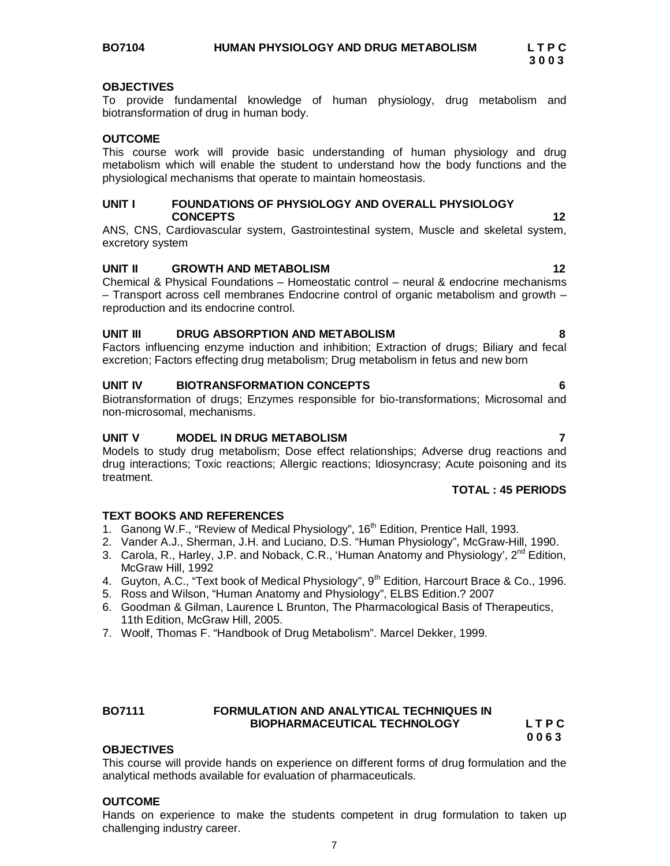This course will provide hands on experience on different forms of drug formulation and the analytical methods available for evaluation of pharmaceuticals. **OUTCOME**

### Hands on experience to make the students competent in drug formulation to taken up challenging industry career.

### **OBJECTIVES**

To provide fundamental knowledge of human physiology, drug metabolism and biotransformation of drug in human body.

### **OUTCOME**

This course work will provide basic understanding of human physiology and drug metabolism which will enable the student to understand how the body functions and the physiological mechanisms that operate to maintain homeostasis.

### **UNIT I FOUNDATIONS OF PHYSIOLOGY AND OVERALL PHYSIOLOGY CONCEPTS 12**

ANS, CNS, Cardiovascular system, Gastrointestinal system, Muscle and skeletal system, excretory system

### **UNIT II GROWTH AND METABOLISM 12**

Chemical & Physical Foundations – Homeostatic control – neural & endocrine mechanisms – Transport across cell membranes Endocrine control of organic metabolism and growth – reproduction and its endocrine control.

### **UNIT III DRUG ABSORPTION AND METABOLISM 8**

Factors influencing enzyme induction and inhibition; Extraction of drugs; Biliary and fecal excretion; Factors effecting drug metabolism; Drug metabolism in fetus and new born

Biotransformation of drugs; Enzymes responsible for bio-transformations; Microsomal and non-microsomal, mechanisms.

### **UNIT V MODEL IN DRUG METABOLISM 7**

Models to study drug metabolism; Dose effect relationships; Adverse drug reactions and drug interactions; Toxic reactions; Allergic reactions; Idiosyncrasy; Acute poisoning and its treatment.

### **TEXT BOOKS AND REFERENCES**

**OBJECTIVES**

- 1. Ganong W.F., "Review of Medical Physiology", 16<sup>th</sup> Edition, Prentice Hall, 1993.
- 2. Vander A.J., Sherman, J.H. and Luciano, D.S. "Human Physiology", McGraw-Hill, 1990.
- 3. Carola, R., Harley, J.P. and Noback, C.R., 'Human Anatomy and Physiology',  $2^{nd}$  Edition, McGraw Hill, 1992
- 4. Guyton, A.C., "Text book of Medical Physiology", 9<sup>th</sup> Edition, Harcourt Brace & Co., 1996.
- 5. Ross and Wilson, "Human Anatomy and Physiology", ELBS Edition.? 2007
- 6. Goodman & Gilman, Laurence L Brunton, The Pharmacological Basis of Therapeutics, 11th Edition, McGraw Hill, 2005.
- 7. Woolf, Thomas F. "Handbook of Drug Metabolism". Marcel Dekker, 1999.

**BO7111 FORMULATION AND ANALYTICAL TECHNIQUES IN** 

**UNIT IV BIOTRANSFORMATION CONCEPTS 6**

### **TOTAL : 45 PERIODS**

 **BIOPHARMACEUTICAL TECHNOLOGY L T P C 0 0 6 3**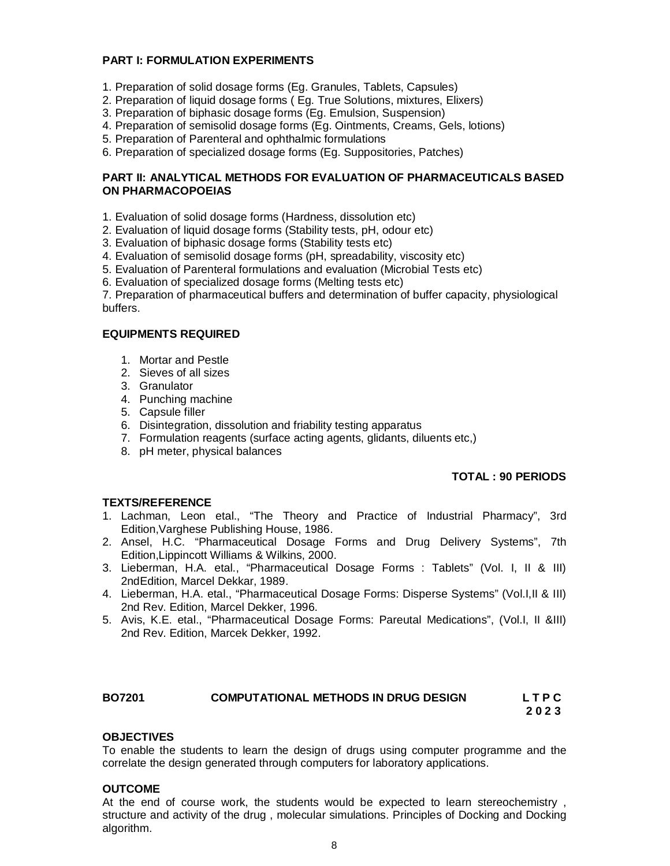### **PART I: FORMULATION EXPERIMENTS**

- 1. Preparation of solid dosage forms (Eg. Granules, Tablets, Capsules)
- 2. Preparation of liquid dosage forms ( Eg. True Solutions, mixtures, Elixers)
- 3. Preparation of biphasic dosage forms (Eg. Emulsion, Suspension)
- 4. Preparation of semisolid dosage forms (Eg. Ointments, Creams, Gels, lotions)
- 5. Preparation of Parenteral and ophthalmic formulations
- 6. Preparation of specialized dosage forms (Eg. Suppositories, Patches)

### **PART II: ANALYTICAL METHODS FOR EVALUATION OF PHARMACEUTICALS BASED ON PHARMACOPOEIAS**

- 1. Evaluation of solid dosage forms (Hardness, dissolution etc)
- 2. Evaluation of liquid dosage forms (Stability tests, pH, odour etc)
- 3. Evaluation of biphasic dosage forms (Stability tests etc)
- 4. Evaluation of semisolid dosage forms (pH, spreadability, viscosity etc)
- 5. Evaluation of Parenteral formulations and evaluation (Microbial Tests etc)
- 6. Evaluation of specialized dosage forms (Melting tests etc)

7. Preparation of pharmaceutical buffers and determination of buffer capacity, physiological buffers.

### **EQUIPMENTS REQUIRED**

- 1. Mortar and Pestle
- 2. Sieves of all sizes
- 3. Granulator
- 4. Punching machine
- 5. Capsule filler
- 6. Disintegration, dissolution and friability testing apparatus
- 7. Formulation reagents (surface acting agents, glidants, diluents etc,)
- 8. pH meter, physical balances

### **TOTAL : 90 PERIODS**

### **TEXTS/REFERENCE**

- 1. Lachman, Leon etal., "The Theory and Practice of Industrial Pharmacy", 3rd Edition,Varghese Publishing House, 1986.
- 2. Ansel, H.C. "Pharmaceutical Dosage Forms and Drug Delivery Systems", 7th Edition,Lippincott Williams & Wilkins, 2000.
- 3. Lieberman, H.A. etal., "Pharmaceutical Dosage Forms : Tablets" (Vol. I, II & III) 2ndEdition, Marcel Dekkar, 1989.
- 4. Lieberman, H.A. etal., "Pharmaceutical Dosage Forms: Disperse Systems" (Vol.I,II & III) 2nd Rev. Edition, Marcel Dekker, 1996.
- 5. Avis, K.E. etal., "Pharmaceutical Dosage Forms: Pareutal Medications", (Vol.I, II &III) 2nd Rev. Edition, Marcek Dekker, 1992.

### **BO7201 COMPUTATIONAL METHODS IN DRUG DESIGN L T P C**

### **2 0 2 3**

### **OBJECTIVES**

To enable the students to learn the design of drugs using computer programme and the correlate the design generated through computers for laboratory applications.

### **OUTCOME**

At the end of course work, the students would be expected to learn stereochemistry , structure and activity of the drug , molecular simulations. Principles of Docking and Docking algorithm.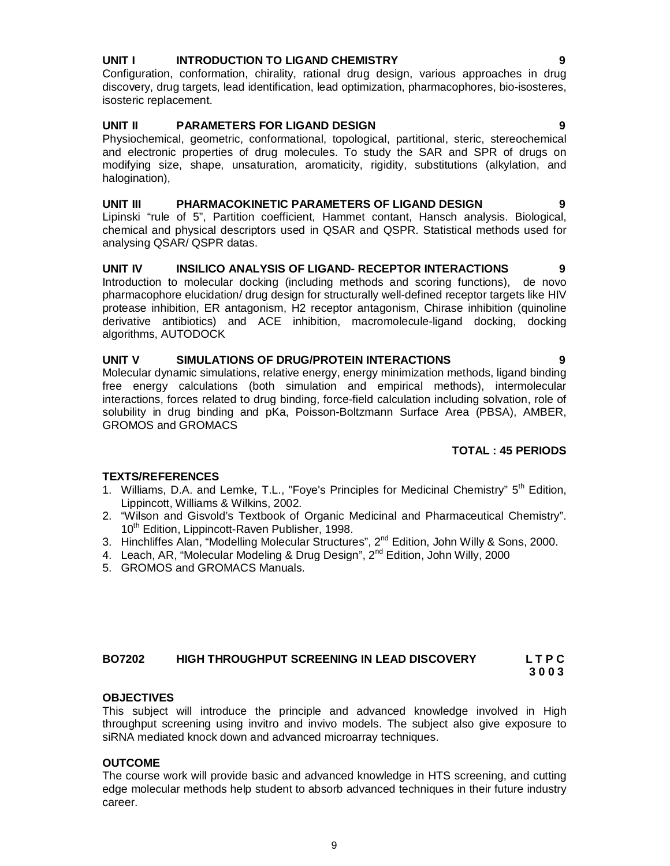### **UNIT I INTRODUCTION TO LIGAND CHEMISTRY 9**

Configuration, conformation, chirality, rational drug design, various approaches in drug discovery, drug targets, lead identification, lead optimization, pharmacophores, bio-isosteres, isosteric replacement.

### **UNIT II PARAMETERS FOR LIGAND DESIGN 9**

Physiochemical, geometric, conformational, topological, partitional, steric, stereochemical and electronic properties of drug molecules. To study the SAR and SPR of drugs on modifying size, shape, unsaturation, aromaticity, rigidity, substitutions (alkylation, and halogination),

### **UNIT III PHARMACOKINETIC PARAMETERS OF LIGAND DESIGN 9**

Lipinski "rule of 5", Partition coefficient, Hammet contant, Hansch analysis. Biological, chemical and physical descriptors used in QSAR and QSPR. Statistical methods used for analysing QSAR/ QSPR datas.

### **UNIT IV INSILICO ANALYSIS OF LIGAND- RECEPTOR INTERACTIONS 9**

Introduction to molecular docking (including methods and scoring functions), de novo pharmacophore elucidation/ drug design for structurally well-defined receptor targets like HIV protease inhibition, ER antagonism, H2 receptor antagonism, Chirase inhibition (quinoline derivative antibiotics) and ACE inhibition, macromolecule-ligand docking, docking algorithms, AUTODOCK

### **UNIT V SIMULATIONS OF DRUG/PROTEIN INTERACTIONS 9**

Molecular dynamic simulations, relative energy, energy minimization methods, ligand binding free energy calculations (both simulation and empirical methods), intermolecular interactions, forces related to drug binding, force-field calculation including solvation, role of solubility in drug binding and pKa, Poisson-Boltzmann Surface Area (PBSA), AMBER, GROMOS and GROMACS

### **TOTAL : 45 PERIODS**

### **TEXTS/REFERENCES**

- 1. Williams, D.A. and Lemke, T.L., "Foye's Principles for Medicinal Chemistry"  $5<sup>th</sup>$  Edition, Lippincott, Williams & Wilkins, 2002.
- 2. "Wilson and Gisvold's Textbook of Organic Medicinal and Pharmaceutical Chemistry". 10<sup>th</sup> Edition, Lippincott-Raven Publisher, 1998.
- 3. Hinchliffes Alan, "Modelling Molecular Structures", 2<sup>nd</sup> Edition, John Willy & Sons, 2000.
- 4. Leach, AR, "Molecular Modeling & Drug Design", 2<sup>nd</sup> Edition, John Willy, 2000
- 5. GROMOS and GROMACS Manuals.

# **BO7202 HIGH THROUGHPUT SCREENING IN LEAD DISCOVERY L T P C**

# **3 0 0 3**

### **OBJECTIVES**

This subject will introduce the principle and advanced knowledge involved in High throughput screening using invitro and invivo models. The subject also give exposure to siRNA mediated knock down and advanced microarray techniques.

### **OUTCOME**

The course work will provide basic and advanced knowledge in HTS screening, and cutting edge molecular methods help student to absorb advanced techniques in their future industry career.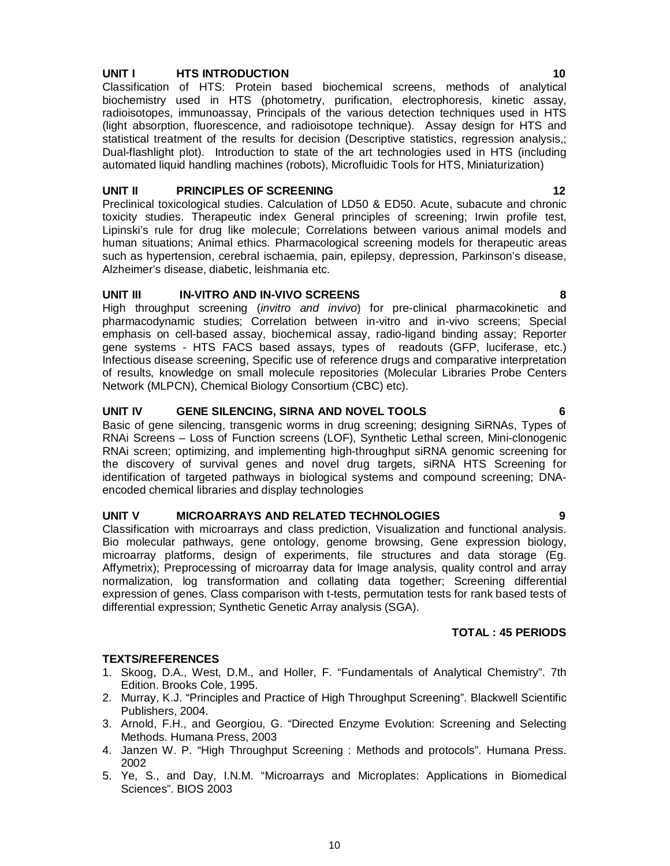### **UNIT I HTS INTRODUCTION 10**

Classification of HTS: Protein based biochemical screens, methods of analytical biochemistry used in HTS (photometry, purification, electrophoresis, kinetic assay, radioisotopes, immunoassay, Principals of the various detection techniques used in HTS (light absorption, fluorescence, and radioisotope technique). Assay design for HTS and statistical treatment of the results for decision (Descriptive statistics, regression analysis,; Dual-flashlight plot). Introduction to state of the art technologies used in HTS (including automated liquid handling machines (robots), Microfluidic Tools for HTS, Miniaturization)

### **UNIT II PRINCIPLES OF SCREENING 12**

Preclinical toxicological studies. Calculation of LD50 & ED50. Acute, subacute and chronic toxicity studies. Therapeutic index General principles of screening; Irwin profile test, Lipinski's rule for drug like molecule; Correlations between various animal models and human situations; Animal ethics. Pharmacological screening models for therapeutic areas such as hypertension, cerebral ischaemia, pain, epilepsy, depression, Parkinson's disease, Alzheimer's disease, diabetic, leishmania etc.

### **UNIT III IN-VITRO AND IN-VIVO SCREENS 8**

High throughput screening (*invitro and invivo*) for pre-clinical pharmacokinetic and pharmacodynamic studies; Correlation between in-vitro and in-vivo screens; Special emphasis on cell-based assay, biochemical assay, radio-ligand binding assay; Reporter gene systems - HTS FACS based assays, types of readouts (GFP, luciferase, etc.) Infectious disease screening, Specific use of reference drugs and comparative interpretation of results, knowledge on small molecule repositories (Molecular Libraries Probe Centers Network (MLPCN), Chemical Biology Consortium (CBC) etc).

### **UNIT IV GENE SILENCING, SIRNA AND NOVEL TOOLS 6**

Basic of gene silencing, transgenic worms in drug screening; designing SiRNAs, Types of RNAi Screens – Loss of Function screens (LOF), Synthetic Lethal screen, Mini-clonogenic RNAi screen; optimizing, and implementing high-throughput siRNA genomic screening for the discovery of survival genes and novel drug targets, siRNA HTS Screening for identification of targeted pathways in biological systems and compound screening; DNAencoded chemical libraries and display technologies

### **UNIT V MICROARRAYS AND RELATED TECHNOLOGIES 9**

Classification with microarrays and class prediction, Visualization and functional analysis. Bio molecular pathways, gene ontology, genome browsing, Gene expression biology, microarray platforms, design of experiments, file structures and data storage (Eg. Affymetrix); Preprocessing of microarray data for Image analysis, quality control and array normalization, log transformation and collating data together; Screening differential expression of genes. Class comparison with t-tests, permutation tests for rank based tests of differential expression; Synthetic Genetic Array analysis (SGA).

### **TOTAL : 45 PERIODS**

### **TEXTS/REFERENCES**

- 1. Skoog, D.A., West, D.M., and Holler, F. "Fundamentals of Analytical Chemistry". 7th Edition. Brooks Cole, 1995.
- 2. Murray, K.J. "Principles and Practice of High Throughput Screening". Blackwell Scientific Publishers, 2004.
- 3. Arnold, F.H., and Georgiou, G. "Directed Enzyme Evolution: Screening and Selecting Methods. Humana Press, 2003
- 4. Janzen W. P. "High Throughput Screening : Methods and protocols". Humana Press. 2002
- 5. Ye, S., and Day, I.N.M. "Microarrays and Microplates: Applications in Biomedical Sciences". BIOS 2003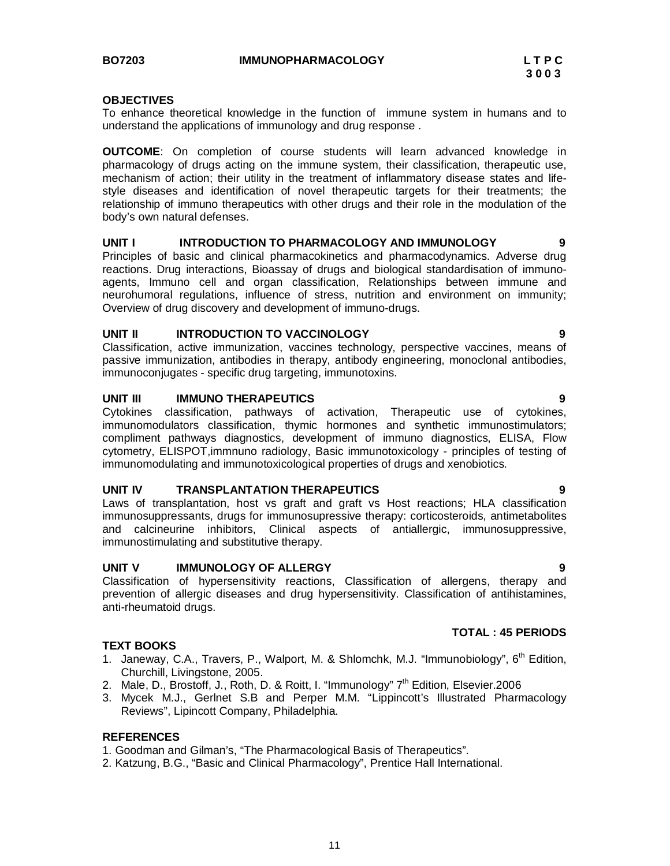### **OBJECTIVES**

To enhance theoretical knowledge in the function of immune system in humans and to understand the applications of immunology and drug response .

**OUTCOME**: On completion of course students will learn advanced knowledge in pharmacology of drugs acting on the immune system, their classification, therapeutic use, mechanism of action; their utility in the treatment of inflammatory disease states and lifestyle diseases and identification of novel therapeutic targets for their treatments; the relationship of immuno therapeutics with other drugs and their role in the modulation of the body's own natural defenses.

### **UNIT I INTRODUCTION TO PHARMACOLOGY AND IMMUNOLOGY 9**

Principles of basic and clinical pharmacokinetics and pharmacodynamics. Adverse drug reactions. Drug interactions, Bioassay of drugs and biological standardisation of immunoagents, Immuno cell and organ classification, Relationships between immune and neurohumoral regulations, influence of stress, nutrition and environment on immunity; Overview of drug discovery and development of immuno-drugs.

### **UNIT II INTRODUCTION TO VACCINOLOGY 9**

Classification, active immunization, vaccines technology, perspective vaccines, means of passive immunization, antibodies in therapy, antibody engineering, monoclonal antibodies, immunoconjugates - specific drug targeting, immunotoxins.

### **UNIT III IMMUNO THERAPEUTICS 9**

Cytokines classification, pathways of activation, Therapeutic use of cytokines, immunomodulators classification, thymic hormones and synthetic immunostimulators; compliment pathways diagnostics, development of immuno diagnostics, ELISA, Flow cytometry, ELISPOT,immnuno radiology, Basic immunotoxicology - principles of testing of immunomodulating and immunotoxicological properties of drugs and xenobiotics.

### **UNIT IV TRANSPLANTATION THERAPEUTICS 9**

Laws of transplantation, host vs graft and graft vs Host reactions; HLA classification immunosuppressants, drugs for immunosupressive therapy: corticosteroids, antimetabolites and calcineurine inhibitors, Clinical aspects of antiallergic, immunosuppressive, immunostimulating and substitutive therapy.

### **UNIT V IMMUNOLOGY OF ALLERGY 9**

Classification of hypersensitivity reactions, Classification of allergens, therapy and prevention of allergic diseases and drug hypersensitivity. Classification of antihistamines, anti-rheumatoid drugs.

### **TEXT BOOKS**

- 1. Janeway, C.A., Travers, P., Walport, M. & Shlomchk, M.J. "Immunobiology",  $6<sup>th</sup>$  Edition, Churchill, Livingstone, 2005.
- 2. Male, D., Brostoff, J., Roth, D. & Roitt, I. "Immunology" 7<sup>th</sup> Edition, Elsevier.2006
- 3. Mycek M.J., Gerlnet S.B and Perper M.M. "Lippincott's Illustrated Pharmacology Reviews", Lipincott Company, Philadelphia.

### **REFERENCES**

1. Goodman and Gilman's, "The Pharmacological Basis of Therapeutics".

2. Katzung, B.G., "Basic and Clinical Pharmacology", Prentice Hall International.

### **TOTAL : 45 PERIODS**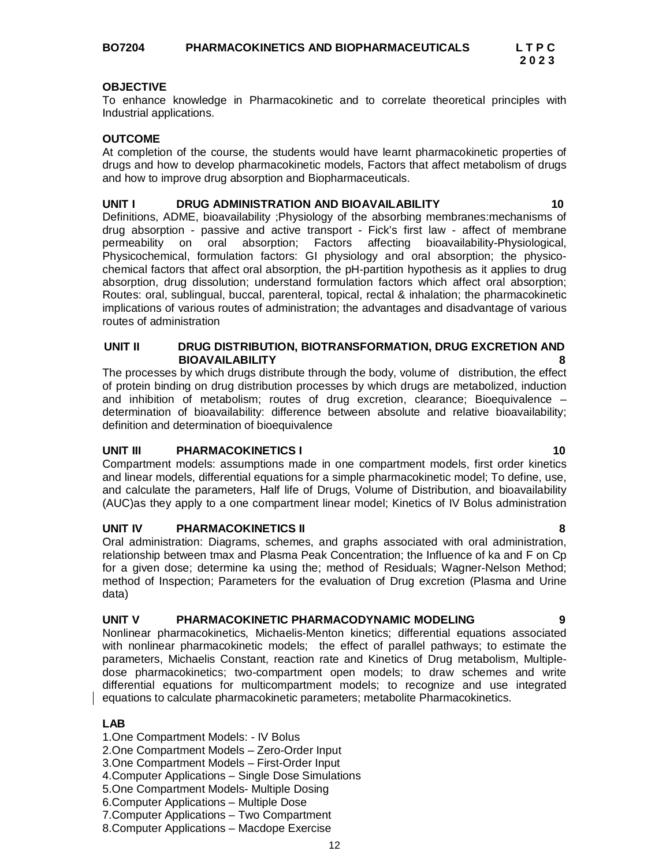**BO7204 PHARMACOKINETICS AND BIOPHARMACEUTICALS L T P C**

 **2 0 2 3**

### **OBJECTIVE**

To enhance knowledge in Pharmacokinetic and to correlate theoretical principles with Industrial applications.

### **OUTCOME**

At completion of the course, the students would have learnt pharmacokinetic properties of drugs and how to develop pharmacokinetic models, Factors that affect metabolism of drugs and how to improve drug absorption and Biopharmaceuticals.

### **UNIT I DRUG ADMINISTRATION AND BIOAVAILABILITY 10**

Definitions, ADME, bioavailability ;Physiology of the absorbing membranes:mechanisms of drug absorption - passive and active transport - Fick's first law - affect of membrane<br>permeability on oral absorption: Factors affecting bioavailability-Physiological. on oral absorption; Factors affecting bioavailability-Physiological, Physicochemical, formulation factors: GI physiology and oral absorption; the physicochemical factors that affect oral absorption, the pH-partition hypothesis as it applies to drug absorption, drug dissolution; understand formulation factors which affect oral absorption; Routes: oral, sublingual, buccal, parenteral, topical, rectal & inhalation; the pharmacokinetic implications of various routes of administration; the advantages and disadvantage of various routes of administration

### **UNIT II DRUG DISTRIBUTION, BIOTRANSFORMATION, DRUG EXCRETION AND BIOAVAILABILITY**

The processes by which drugs distribute through the body, volume of distribution, the effect of protein binding on drug distribution processes by which drugs are metabolized, induction and inhibition of metabolism; routes of drug excretion, clearance; Bioequivalence – determination of bioavailability: difference between absolute and relative bioavailability; definition and determination of bioequivalence

### **UNIT III** PHARMACOKINETICS I 10

Compartment models: assumptions made in one compartment models, first order kinetics and linear models, differential equations for a simple pharmacokinetic model; To define, use, and calculate the parameters, Half life of Drugs, Volume of Distribution, and bioavailability (AUC)as they apply to a one compartment linear model; Kinetics of IV Bolus administration

### **UNIT IV PHARMACOKINETICS II**

Oral administration: Diagrams, schemes, and graphs associated with oral administration, relationship between tmax and Plasma Peak Concentration; the Influence of ka and F on Cp for a given dose; determine ka using the; method of Residuals; Wagner-Nelson Method; method of Inspection; Parameters for the evaluation of Drug excretion (Plasma and Urine data)

### **UNIT V PHARMACOKINETIC PHARMACODYNAMIC MODELING 9**

Nonlinear pharmacokinetics, Michaelis-Menton kinetics; differential equations associated with nonlinear pharmacokinetic models; the effect of parallel pathways; to estimate the parameters, Michaelis Constant, reaction rate and Kinetics of Drug metabolism, Multipledose pharmacokinetics; two-compartment open models; to draw schemes and write differential equations for multicompartment models; to recognize and use integrated equations to calculate pharmacokinetic parameters; metabolite Pharmacokinetics.

### **LAB**

- 1.One Compartment Models: IV Bolus
- 2.One Compartment Models Zero-Order Input
- 3.One Compartment Models First-Order Input
- 4.Computer Applications Single Dose Simulations
- 5.One Compartment Models- Multiple Dosing
- 6.Computer Applications Multiple Dose
- 7.Computer Applications Two Compartment
- 8.Computer Applications Macdope Exercise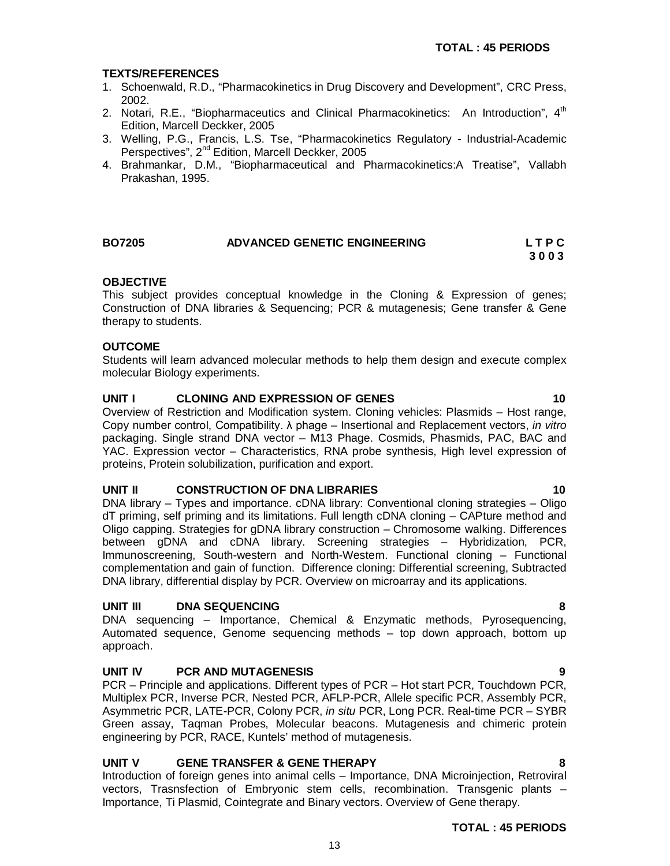### **TEXTS/REFERENCES**

- 1. Schoenwald, R.D., "Pharmacokinetics in Drug Discovery and Development", CRC Press, 2002.
- 2. Notari, R.E., "Biopharmaceutics and Clinical Pharmacokinetics: An Introduction", 4<sup>th</sup> Edition, Marcell Deckker, 2005
- 3. Welling, P.G., Francis, L.S. Tse, "Pharmacokinetics Regulatory Industrial-Academic Perspectives", 2<sup>nd</sup> Edition, Marcell Deckker, 2005
- 4. Brahmankar, D.M., "Biopharmaceutical and Pharmacokinetics:A Treatise", Vallabh Prakashan, 1995.

| <b>BO7205</b> | ADVANCED GENETIC ENGINEERING | LTPC |
|---------------|------------------------------|------|
|               |                              | 3003 |

### **OBJECTIVE**

This subject provides conceptual knowledge in the Cloning & Expression of genes; Construction of DNA libraries & Sequencing; PCR & mutagenesis; Gene transfer & Gene therapy to students.

### **OUTCOME**

Students will learn advanced molecular methods to help them design and execute complex molecular Biology experiments.

### **UNIT I CLONING AND EXPRESSION OF GENES 10**

Overview of Restriction and Modification system. Cloning vehicles: Plasmids – Host range, Copy number control, Compatibility. λ phage – Insertional and Replacement vectors, *in vitro* packaging. Single strand DNA vector – M13 Phage. Cosmids, Phasmids, PAC, BAC and YAC. Expression vector – Characteristics, RNA probe synthesis, High level expression of proteins, Protein solubilization, purification and export.

### **UNIT II CONSTRUCTION OF DNA LIBRARIES 10**

DNA library – Types and importance. cDNA library: Conventional cloning strategies – Oligo dT priming, self priming and its limitations. Full length cDNA cloning – CAPture method and Oligo capping. Strategies for gDNA library construction – Chromosome walking. Differences between gDNA and cDNA library. Screening strategies – Hybridization, PCR, Immunoscreening, South-western and North-Western. Functional cloning – Functional complementation and gain of function. Difference cloning: Differential screening, Subtracted DNA library, differential display by PCR. Overview on microarray and its applications.

### **UNIT III DNA SEQUENCING 8**

DNA sequencing – Importance, Chemical & Enzymatic methods, Pyrosequencing, Automated sequence, Genome sequencing methods – top down approach, bottom up approach.

### **UNIT IV PCR AND MUTAGENESIS 9**

PCR – Principle and applications. Different types of PCR – Hot start PCR, Touchdown PCR, Multiplex PCR, Inverse PCR, Nested PCR, AFLP-PCR, Allele specific PCR, Assembly PCR, Asymmetric PCR, LATE-PCR, Colony PCR, *in situ* PCR, Long PCR. Real-time PCR – SYBR Green assay, Taqman Probes, Molecular beacons. Mutagenesis and chimeric protein engineering by PCR, RACE, Kuntels' method of mutagenesis.

### **UNIT V GENE TRANSFER & GENE THERAPY 8**

Introduction of foreign genes into animal cells – Importance, DNA Microinjection, Retroviral vectors, Trasnsfection of Embryonic stem cells, recombination. Transgenic plants – Importance, Ti Plasmid, Cointegrate and Binary vectors. Overview of Gene therapy.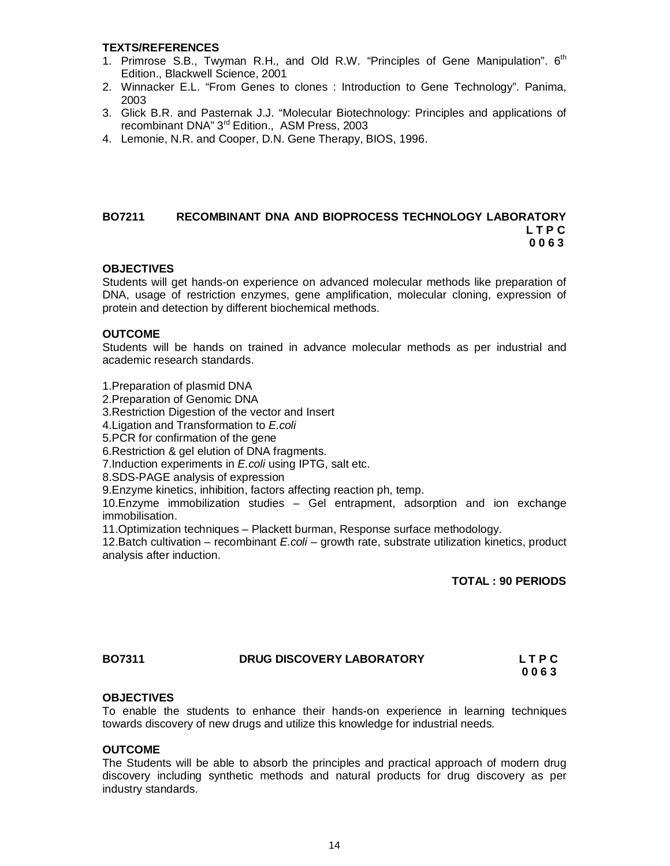### **TEXTS/REFERENCES**

- 1. Primrose S.B., Twyman R.H., and Old R.W. "Principles of Gene Manipulation".  $6<sup>th</sup>$ Edition., Blackwell Science, 2001
- 2. Winnacker E.L. "From Genes to clones : Introduction to Gene Technology". Panima, 2003
- 3. Glick B.R. and Pasternak J.J. "Molecular Biotechnology: Principles and applications of recombinant DNA" 3<sup>rd</sup> Edition., ASM Press, 2003
- 4. Lemonie, N.R. and Cooper, D.N. Gene Therapy, BIOS, 1996.

### **BO7211 RECOMBINANT DNA AND BIOPROCESS TECHNOLOGY LABORATORY L T P C** L T P C  **0 0 6 3**

### **OBJECTIVES**

Students will get hands-on experience on advanced molecular methods like preparation of DNA, usage of restriction enzymes, gene amplification, molecular cloning, expression of protein and detection by different biochemical methods.

### **OUTCOME**

Students will be hands on trained in advance molecular methods as per industrial and academic research standards.

1.Preparation of plasmid DNA

2.Preparation of Genomic DNA

3.Restriction Digestion of the vector and Insert

4.Ligation and Transformation to *E.coli*

5.PCR for confirmation of the gene

6.Restriction & gel elution of DNA fragments.

7.Induction experiments in *E.coli* using IPTG, salt etc.

8.SDS-PAGE analysis of expression

9.Enzyme kinetics, inhibition, factors affecting reaction ph, temp.

10.Enzyme immobilization studies – Gel entrapment, adsorption and ion exchange immobilisation.

11.Optimization techniques – Plackett burman, Response surface methodology.

12.Batch cultivation – recombinant *E.coli* – growth rate, substrate utilization kinetics, product analysis after induction.

**TOTAL : 90 PERIODS** 

### **BO7311 DRUG DISCOVERY LABORATORY L T P C**

 **0 0 6 3**

### **OBJECTIVES**

To enable the students to enhance their hands-on experience in learning techniques towards discovery of new drugs and utilize this knowledge for industrial needs.

### **OUTCOME**

The Students will be able to absorb the principles and practical approach of modern drug discovery including synthetic methods and natural products for drug discovery as per industry standards.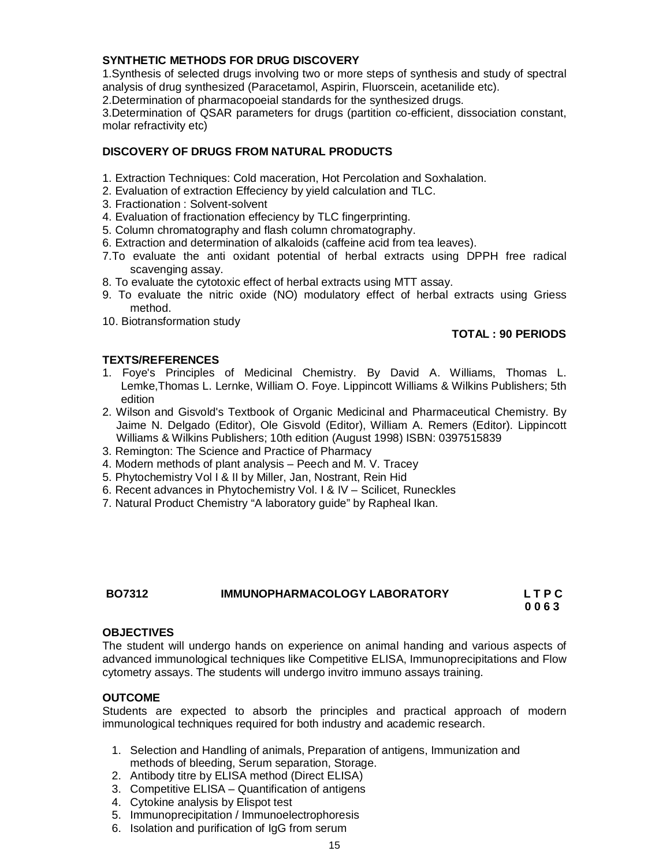### **SYNTHETIC METHODS FOR DRUG DISCOVERY**

1.Synthesis of selected drugs involving two or more steps of synthesis and study of spectral analysis of drug synthesized (Paracetamol, Aspirin, Fluorscein, acetanilide etc).

2.Determination of pharmacopoeial standards for the synthesized drugs.

3.Determination of QSAR parameters for drugs (partition co-efficient, dissociation constant, molar refractivity etc)

### **DISCOVERY OF DRUGS FROM NATURAL PRODUCTS**

- 1. Extraction Techniques: Cold maceration, Hot Percolation and Soxhalation.
- 2. Evaluation of extraction Effeciency by yield calculation and TLC.
- 3. Fractionation : Solvent-solvent
- 4. Evaluation of fractionation effeciency by TLC fingerprinting.
- 5. Column chromatography and flash column chromatography.
- 6. Extraction and determination of alkaloids (caffeine acid from tea leaves).
- 7.To evaluate the anti oxidant potential of herbal extracts using DPPH free radical scavenging assay.
- 8. To evaluate the cytotoxic effect of herbal extracts using MTT assay.
- 9. To evaluate the nitric oxide (NO) modulatory effect of herbal extracts using Griess method.
- 10. Biotransformation study

### **TOTAL : 90 PERIODS**

### **TEXTS/REFERENCES**

- 1. Foye's Principles of Medicinal Chemistry. By David A. Williams, Thomas L. Lemke,Thomas L. Lernke, William O. Foye. Lippincott Williams & Wilkins Publishers; 5th edition
- 2. Wilson and Gisvold's Textbook of Organic Medicinal and Pharmaceutical Chemistry. By Jaime N. Delgado (Editor), Ole Gisvold (Editor), William A. Remers (Editor). Lippincott Williams & Wilkins Publishers; 10th edition (August 1998) ISBN: 0397515839
- 3. Remington: The Science and Practice of Pharmacy
- 4. Modern methods of plant analysis Peech and M. V. Tracey
- 5. Phytochemistry Vol I & II by Miller, Jan, Nostrant, Rein Hid
- 6. Recent advances in Phytochemistry Vol. I & IV Scilicet, Runeckles
- 7. Natural Product Chemistry "A laboratory guide" by Rapheal Ikan.

### **BO7312 IMMUNOPHARMACOLOGY LABORATORY L T P C 0 0 6 3**

### **OBJECTIVES**

The student will undergo hands on experience on animal handing and various aspects of advanced immunological techniques like Competitive ELISA, Immunoprecipitations and Flow cytometry assays. The students will undergo invitro immuno assays training.

### **OUTCOME**

Students are expected to absorb the principles and practical approach of modern immunological techniques required for both industry and academic research.

- 1. Selection and Handling of animals, Preparation of antigens, Immunization and methods of bleeding, Serum separation, Storage.
- 2. Antibody titre by ELISA method (Direct ELISA)
- 3. Competitive ELISA Quantification of antigens
- 4. Cytokine analysis by Elispot test
- 5. Immunoprecipitation / Immunoelectrophoresis
- 6. Isolation and purification of IgG from serum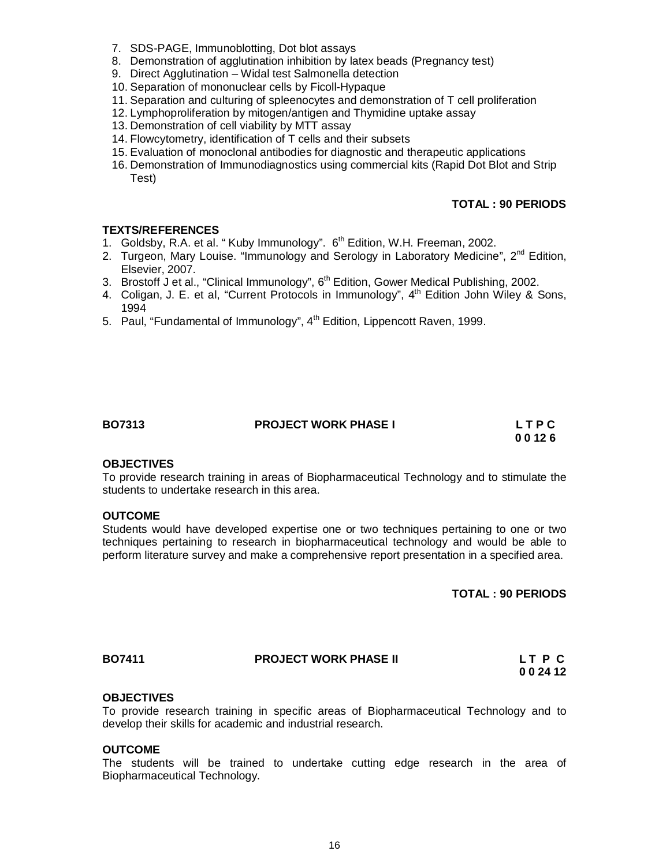- 7. SDS-PAGE, Immunoblotting, Dot blot assays
- 8. Demonstration of agglutination inhibition by latex beads (Pregnancy test)
- 9. Direct Agglutination Widal test Salmonella detection
- 10. Separation of mononuclear cells by Ficoll-Hypaque
- 11. Separation and culturing of spleenocytes and demonstration of T cell proliferation
- 12. Lymphoproliferation by mitogen/antigen and Thymidine uptake assay
- 13. Demonstration of cell viability by MTT assay
- 14. Flowcytometry, identification of T cells and their subsets
- 15. Evaluation of monoclonal antibodies for diagnostic and therapeutic applications
- 16. Demonstration of Immunodiagnostics using commercial kits (Rapid Dot Blot and Strip Test)

### **TOTAL : 90 PERIODS**

### **TEXTS/REFERENCES**

- 1. Goldsby, R.A. et al. "Kuby Immunology". 6<sup>th</sup> Edition, W.H. Freeman, 2002.
- 2. Turgeon, Mary Louise. "Immunology and Serology in Laboratory Medicine",  $2^{nd}$  Edition, Elsevier, 2007.
- 3. Brostoff J et al., "Clinical Immunology", 6<sup>th</sup> Edition, Gower Medical Publishing, 2002.
- 4. Coligan, J. E. et al, "Current Protocols in Immunology", 4th Edition John Wiley & Sons, 1994
- 5. Paul, "Fundamental of Immunology",  $4<sup>th</sup>$  Edition, Lippencott Raven, 1999.

| м<br>BO73′ |  |
|------------|--|
|------------|--|

# **BO7313 PROJECT WORK PHASE I L T P C**

 **0 0 12 6**

### **OBJECTIVES**

To provide research training in areas of Biopharmaceutical Technology and to stimulate the students to undertake research in this area.

### **OUTCOME**

Students would have developed expertise one or two techniques pertaining to one or two techniques pertaining to research in biopharmaceutical technology and would be able to perform literature survey and make a comprehensive report presentation in a specified area.

**TOTAL : 90 PERIODS**

| BO7411 | <b>PROJECT WORK PHASE II</b> | LT P C |
|--------|------------------------------|--------|
|        |                              | 002412 |

### **OBJECTIVES**

To provide research training in specific areas of Biopharmaceutical Technology and to develop their skills for academic and industrial research.

### **OUTCOME**

The students will be trained to undertake cutting edge research in the area of Biopharmaceutical Technology.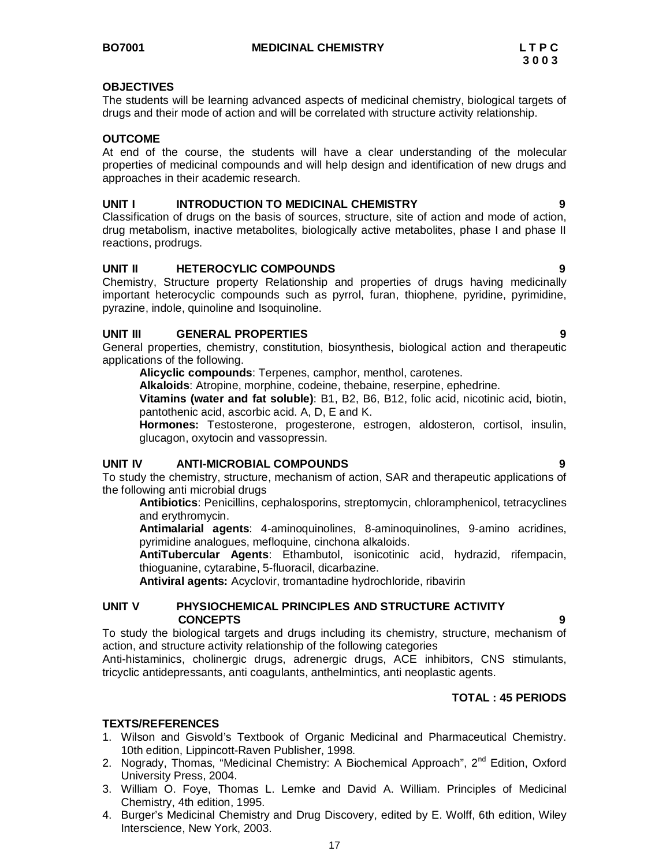### **OBJECTIVES**

The students will be learning advanced aspects of medicinal chemistry, biological targets of drugs and their mode of action and will be correlated with structure activity relationship.

### **OUTCOME**

At end of the course, the students will have a clear understanding of the molecular properties of medicinal compounds and will help design and identification of new drugs and approaches in their academic research.

### **UNIT I INTRODUCTION TO MEDICINAL CHEMISTRY 9**

Classification of drugs on the basis of sources, structure, site of action and mode of action, drug metabolism, inactive metabolites, biologically active metabolites, phase I and phase II reactions, prodrugs.

### **UNIT II HETEROCYLIC COMPOUNDS 9**

Chemistry, Structure property Relationship and properties of drugs having medicinally important heterocyclic compounds such as pyrrol, furan, thiophene, pyridine, pyrimidine, pyrazine, indole, quinoline and Isoquinoline.

### **UNIT III GENERAL PROPERTIES 9**

General properties, chemistry, constitution, biosynthesis, biological action and therapeutic applications of the following.

**Alicyclic compounds**: Terpenes, camphor, menthol, carotenes.

**Alkaloids**: Atropine, morphine, codeine, thebaine, reserpine, ephedrine.

**Vitamins (water and fat soluble)**: B1, B2, B6, B12, folic acid, nicotinic acid, biotin, pantothenic acid, ascorbic acid. A, D, E and K.

**Hormones:** Testosterone, progesterone, estrogen, aldosteron, cortisol, insulin, glucagon, oxytocin and vassopressin.

### **UNIT IV ANTI-MICROBIAL COMPOUNDS 9**

To study the chemistry, structure, mechanism of action, SAR and therapeutic applications of the following anti microbial drugs

**Antibiotics**: Penicillins, cephalosporins, streptomycin, chloramphenicol, tetracyclines and erythromycin.

**Antimalarial agents**: 4-aminoquinolines, 8-aminoquinolines, 9-amino acridines, pyrimidine analogues, mefloquine, cinchona alkaloids.

**AntiTubercular Agents**: Ethambutol, isonicotinic acid, hydrazid, rifempacin, thioguanine, cytarabine, 5-fluoracil, dicarbazine.

**Antiviral agents:** Acyclovir, tromantadine hydrochloride, ribavirin

### **UNIT V PHYSIOCHEMICAL PRINCIPLES AND STRUCTURE ACTIVITY CONCEPTS 9**

To study the biological targets and drugs including its chemistry, structure, mechanism of action, and structure activity relationship of the following categories

Anti-histaminics, cholinergic drugs, adrenergic drugs, ACE inhibitors, CNS stimulants, tricyclic antidepressants, anti coagulants, anthelmintics, anti neoplastic agents.

### **TOTAL : 45 PERIODS**

### **TEXTS/REFERENCES**

- 1. Wilson and Gisvold's Textbook of Organic Medicinal and Pharmaceutical Chemistry. 10th edition, Lippincott-Raven Publisher, 1998.
- 2. Nogrady, Thomas, "Medicinal Chemistry: A Biochemical Approach", 2<sup>nd</sup> Edition, Oxford University Press, 2004.
- 3. William O. Foye, Thomas L. Lemke and David A. William. Principles of Medicinal Chemistry, 4th edition, 1995.
- 4. Burger's Medicinal Chemistry and Drug Discovery, edited by E. Wolff, 6th edition, Wiley Interscience, New York, 2003.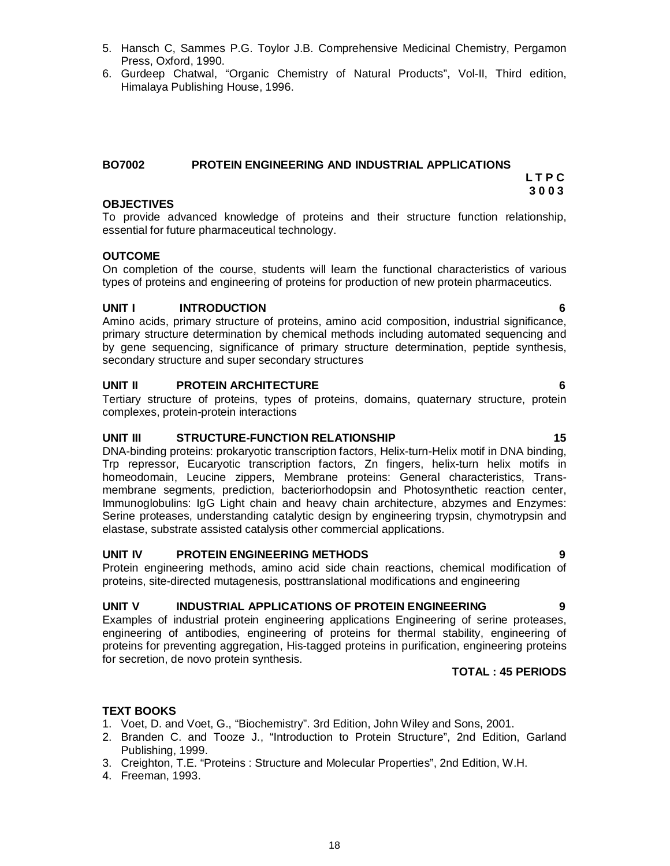18

- 5. Hansch C, Sammes P.G. Toylor J.B. Comprehensive Medicinal Chemistry, Pergamon Press, Oxford, 1990.
- 6. Gurdeep Chatwal, "Organic Chemistry of Natural Products", Vol-II, Third edition, Himalaya Publishing House, 1996.

### **BO7002 PROTEIN ENGINEERING AND INDUSTRIAL APPLICATIONS L T P C**

### **OBJECTIVES**

To provide advanced knowledge of proteins and their structure function relationship, essential for future pharmaceutical technology.

### **OUTCOME**

On completion of the course, students will learn the functional characteristics of various types of proteins and engineering of proteins for production of new protein pharmaceutics.

### **UNIT I INTRODUCTION 6**

Amino acids, primary structure of proteins, amino acid composition, industrial significance, primary structure determination by chemical methods including automated sequencing and by gene sequencing, significance of primary structure determination, peptide synthesis, secondary structure and super secondary structures

### **UNIT II PROTEIN ARCHITECTURE 6**

Tertiary structure of proteins, types of proteins, domains, quaternary structure, protein complexes, protein-protein interactions

### **UNIT III** STRUCTURE-FUNCTION RELATIONSHIP 15

DNA-binding proteins: prokaryotic transcription factors, Helix-turn-Helix motif in DNA binding, Trp repressor, Eucaryotic transcription factors, Zn fingers, helix-turn helix motifs in homeodomain, Leucine zippers, Membrane proteins: General characteristics, Transmembrane segments, prediction, bacteriorhodopsin and Photosynthetic reaction center, Immunoglobulins: IgG Light chain and heavy chain architecture, abzymes and Enzymes: Serine proteases, understanding catalytic design by engineering trypsin, chymotrypsin and elastase, substrate assisted catalysis other commercial applications.

### **UNIT IV PROTEIN ENGINEERING METHODS 9**

Protein engineering methods, amino acid side chain reactions, chemical modification of proteins, site-directed mutagenesis, posttranslational modifications and engineering

### **UNIT V INDUSTRIAL APPLICATIONS OF PROTEIN ENGINEERING 9**

Examples of industrial protein engineering applications Engineering of serine proteases, engineering of antibodies, engineering of proteins for thermal stability, engineering of proteins for preventing aggregation, His-tagged proteins in purification, engineering proteins for secretion, de novo protein synthesis.

### **TOTAL : 45 PERIODS**

### **TEXT BOOKS**

- 1. Voet, D. and Voet, G., "Biochemistry". 3rd Edition, John Wiley and Sons, 2001.
- 2. Branden C. and Tooze J., "Introduction to Protein Structure", 2nd Edition, Garland Publishing, 1999.
- 3. Creighton, T.E. "Proteins : Structure and Molecular Properties", 2nd Edition, W.H.
- 4. Freeman, 1993.

 **3 0 0 3**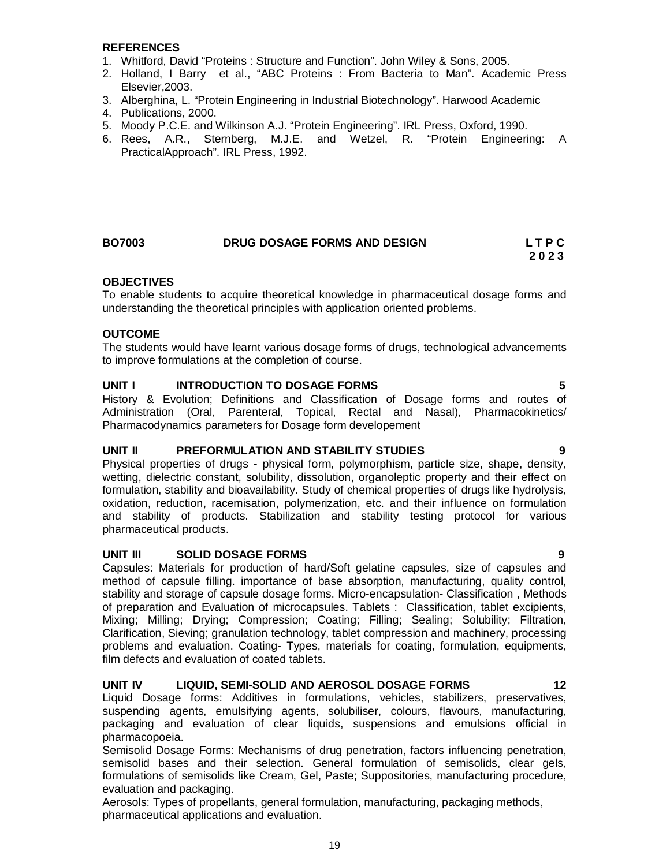### **REFERENCES**

- 1. Whitford, David "Proteins : Structure and Function". John Wiley & Sons, 2005.
- 2. Holland, I Barry et al., "ABC Proteins : From Bacteria to Man". Academic Press Elsevier,2003.
- 3. Alberghina, L. "Protein Engineering in Industrial Biotechnology". Harwood Academic
- 4. Publications, 2000.
- 5. Moody P.C.E. and Wilkinson A.J. "Protein Engineering". IRL Press, Oxford, 1990.
- 6. Rees, A.R., Sternberg, M.J.E. and Wetzel, R. "Protein Engineering: A PracticalApproach". IRL Press, 1992.

### **BO7003 DRUG DOSAGE FORMS AND DESIGN L T P C 2 0 2 3**

### **OBJECTIVES**

To enable students to acquire theoretical knowledge in pharmaceutical dosage forms and understanding the theoretical principles with application oriented problems.

### **OUTCOME**

The students would have learnt various dosage forms of drugs, technological advancements to improve formulations at the completion of course.

### **UNIT I INTRODUCTION TO DOSAGE FORMS 5**

History & Evolution; Definitions and Classification of Dosage forms and routes of Administration (Oral, Parenteral, Topical, Rectal and Nasal), Pharmacokinetics/ Pharmacodynamics parameters for Dosage form developement

### **UNIT II PREFORMULATION AND STABILITY STUDIES 9**

Physical properties of drugs - physical form, polymorphism, particle size, shape, density, wetting, dielectric constant, solubility, dissolution, organoleptic property and their effect on formulation, stability and bioavailability. Study of chemical properties of drugs like hydrolysis, oxidation, reduction, racemisation, polymerization, etc. and their influence on formulation and stability of products. Stabilization and stability testing protocol for various pharmaceutical products.

### **UNIT III SOLID DOSAGE FORMS 9**

Capsules: Materials for production of hard/Soft gelatine capsules, size of capsules and method of capsule filling. importance of base absorption, manufacturing, quality control, stability and storage of capsule dosage forms. Micro-encapsulation- Classification , Methods of preparation and Evaluation of microcapsules. Tablets : Classification, tablet excipients, Mixing; Milling; Drying; Compression; Coating; Filling; Sealing; Solubility; Filtration, Clarification, Sieving; granulation technology, tablet compression and machinery, processing problems and evaluation. Coating- Types, materials for coating, formulation, equipments, film defects and evaluation of coated tablets.

### **UNIT IV LIQUID, SEMI-SOLID AND AEROSOL DOSAGE FORMS 12**

Liquid Dosage forms: Additives in formulations, vehicles, stabilizers, preservatives, suspending agents, emulsifying agents, solubiliser, colours, flavours, manufacturing, packaging and evaluation of clear liquids, suspensions and emulsions official in pharmacopoeia.

Semisolid Dosage Forms: Mechanisms of drug penetration, factors influencing penetration, semisolid bases and their selection. General formulation of semisolids, clear gels, formulations of semisolids like Cream, Gel, Paste; Suppositories, manufacturing procedure, evaluation and packaging.

Aerosols: Types of propellants, general formulation, manufacturing, packaging methods, pharmaceutical applications and evaluation.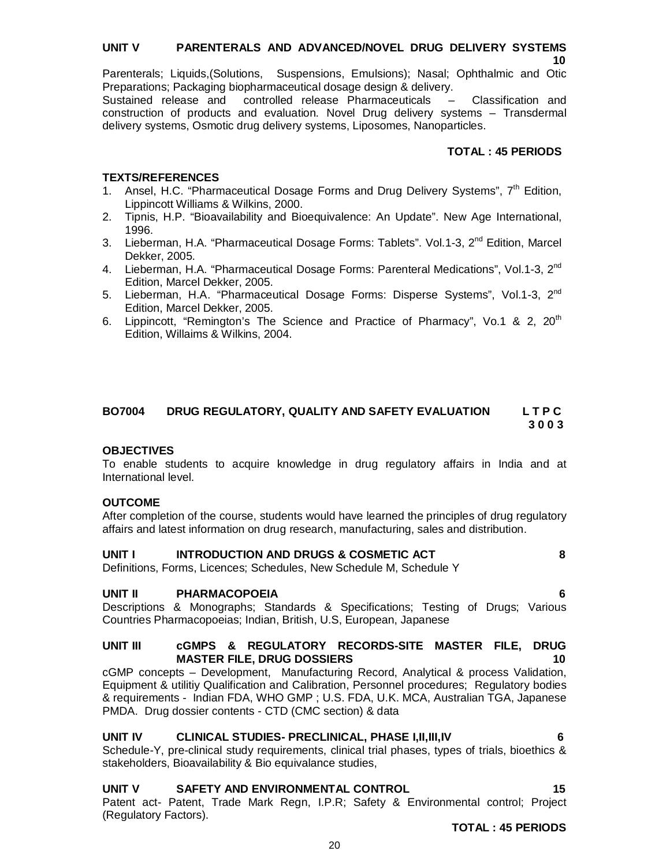### **UNIT V PARENTERALS AND ADVANCED/NOVEL DRUG DELIVERY SYSTEMS 10**

Parenterals; Liquids,(Solutions, Suspensions, Emulsions); Nasal; Ophthalmic and Otic Preparations; Packaging biopharmaceutical dosage design & delivery.

Sustained release and controlled release Pharmaceuticals – Classification and construction of products and evaluation. Novel Drug delivery systems – Transdermal delivery systems, Osmotic drug delivery systems, Liposomes, Nanoparticles.

### **TOTAL : 45 PERIODS**

### **TEXTS/REFERENCES**

- 1. Ansel, H.C. "Pharmaceutical Dosage Forms and Drug Delivery Systems",  $7<sup>th</sup>$  Edition, Lippincott Williams & Wilkins, 2000.
- 2. Tipnis, H.P. "Bioavailability and Bioequivalence: An Update". New Age International, 1996.
- 3. Lieberman, H.A. "Pharmaceutical Dosage Forms: Tablets", Vol.1-3, 2<sup>nd</sup> Edition, Marcel Dekker, 2005.
- 4. Lieberman, H.A. "Pharmaceutical Dosage Forms: Parenteral Medications", Vol.1-3, 2<sup>nd</sup> Edition, Marcel Dekker, 2005.
- 5. Lieberman, H.A. "Pharmaceutical Dosage Forms: Disperse Systems", Vol.1-3, 2nd Edition, Marcel Dekker, 2005.
- 6. Lippincott, "Remington's The Science and Practice of Pharmacy", Vo.1 & 2,  $20<sup>th</sup>$ Edition, Willaims & Wilkins, 2004.

### **BO7004 DRUG REGULATORY, QUALITY AND SAFETY EVALUATION L T P C 3 0 0 3**

### **OBJECTIVES**

To enable students to acquire knowledge in drug regulatory affairs in India and at International level.

### **OUTCOME**

After completion of the course, students would have learned the principles of drug regulatory affairs and latest information on drug research, manufacturing, sales and distribution.

### **UNIT I INTRODUCTION AND DRUGS & COSMETIC ACT 8**

Definitions, Forms, Licences; Schedules, New Schedule M, Schedule Y

### **UNIT II PHARMACOPOEIA 6**

Descriptions & Monographs; Standards & Specifications; Testing of Drugs; Various Countries Pharmacopoeias; Indian, British, U.S, European, Japanese

### **UNIT III cGMPS & REGULATORY RECORDS-SITE MASTER FILE, DRUG MASTER FILE, DRUG DOSSIERS 10**

cGMP concepts – Development, Manufacturing Record, Analytical & process Validation, Equipment & utilitiy Qualification and Calibration, Personnel procedures; Regulatory bodies & requirements - Indian FDA, WHO GMP ; U.S. FDA, U.K. MCA, Australian TGA, Japanese PMDA. Drug dossier contents - CTD (CMC section) & data

### **UNIT IV CLINICAL STUDIES- PRECLINICAL, PHASE I,II,III,IV 6**

Schedule-Y, pre-clinical study requirements, clinical trial phases, types of trials, bioethics & stakeholders, Bioavailability & Bio equivalance studies,

# **UNIT V SAFETY AND ENVIRONMENTAL CONTROL 15**

Patent act- Patent, Trade Mark Regn, I.P.R; Safety & Environmental control; Project (Regulatory Factors).

**TOTAL : 45 PERIODS**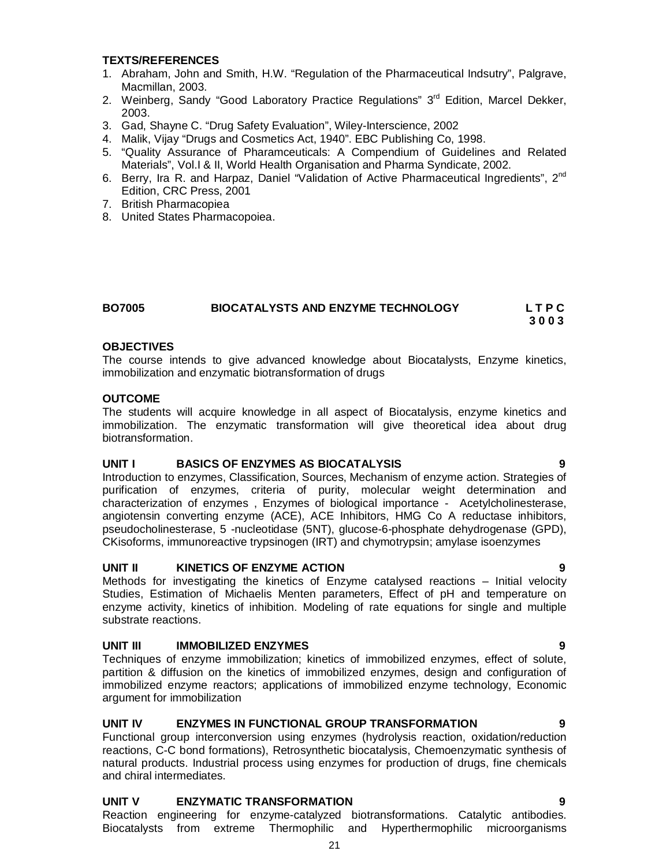### **TEXTS/REFERENCES**

- 1. Abraham, John and Smith, H.W. "Regulation of the Pharmaceutical Indsutry", Palgrave, Macmillan, 2003.
- 2. Weinberg, Sandy "Good Laboratory Practice Regulations" 3<sup>rd</sup> Edition, Marcel Dekker, 2003.
- 3. Gad, Shayne C. "Drug Safety Evaluation", Wiley-Interscience, 2002
- 4. Malik, Vijay "Drugs and Cosmetics Act, 1940". EBC Publishing Co, 1998.
- 5. "Quality Assurance of Pharamceuticals: A Compendium of Guidelines and Related Materials", Vol.I & II, World Health Organisation and Pharma Syndicate, 2002.
- 6. Berry, Ira R. and Harpaz, Daniel "Validation of Active Pharmaceutical Ingredients", 2nd Edition, CRC Press, 2001
- 7. British Pharmacopiea
- 8. United States Pharmacopoiea.

### **BO7005 BIOCATALYSTS AND ENZYME TECHNOLOGY L T P C 3 0 0 3**

### **OBJECTIVES**

The course intends to give advanced knowledge about Biocatalysts, Enzyme kinetics, immobilization and enzymatic biotransformation of drugs

### **OUTCOME**

The students will acquire knowledge in all aspect of Biocatalysis, enzyme kinetics and immobilization. The enzymatic transformation will give theoretical idea about drug biotransformation.

### **UNIT I BASICS OF ENZYMES AS BIOCATALYSIS 9**

Introduction to enzymes, Classification, Sources, Mechanism of enzyme action. Strategies of purification of enzymes, criteria of purity, molecular weight determination and characterization of enzymes , Enzymes of biological importance - Acetylcholinesterase, angiotensin converting enzyme (ACE), ACE Inhibitors, HMG Co A reductase inhibitors, pseudocholinesterase, 5 -nucleotidase (5NT), glucose-6-phosphate dehydrogenase (GPD), CKisoforms, immunoreactive trypsinogen (IRT) and chymotrypsin; amylase isoenzymes

### **UNIT II KINETICS OF ENZYME ACTION 9**

Methods for investigating the kinetics of Enzyme catalysed reactions – Initial velocity Studies, Estimation of Michaelis Menten parameters, Effect of pH and temperature on enzyme activity, kinetics of inhibition. Modeling of rate equations for single and multiple substrate reactions.

### **UNIT III IMMOBILIZED ENZYMES 9**

Techniques of enzyme immobilization; kinetics of immobilized enzymes, effect of solute, partition & diffusion on the kinetics of immobilized enzymes, design and configuration of immobilized enzyme reactors; applications of immobilized enzyme technology, Economic argument for immobilization

### **UNIT IV ENZYMES IN FUNCTIONAL GROUP TRANSFORMATION 9**

Functional group interconversion using enzymes (hydrolysis reaction, oxidation/reduction reactions, C-C bond formations), Retrosynthetic biocatalysis, Chemoenzymatic synthesis of natural products. Industrial process using enzymes for production of drugs, fine chemicals and chiral intermediates.

### **UNIT V ENZYMATIC TRANSFORMATION 9**

Reaction engineering for enzyme-catalyzed biotransformations. Catalytic antibodies. Biocatalysts from extreme Thermophilic and Hyperthermophilic microorganisms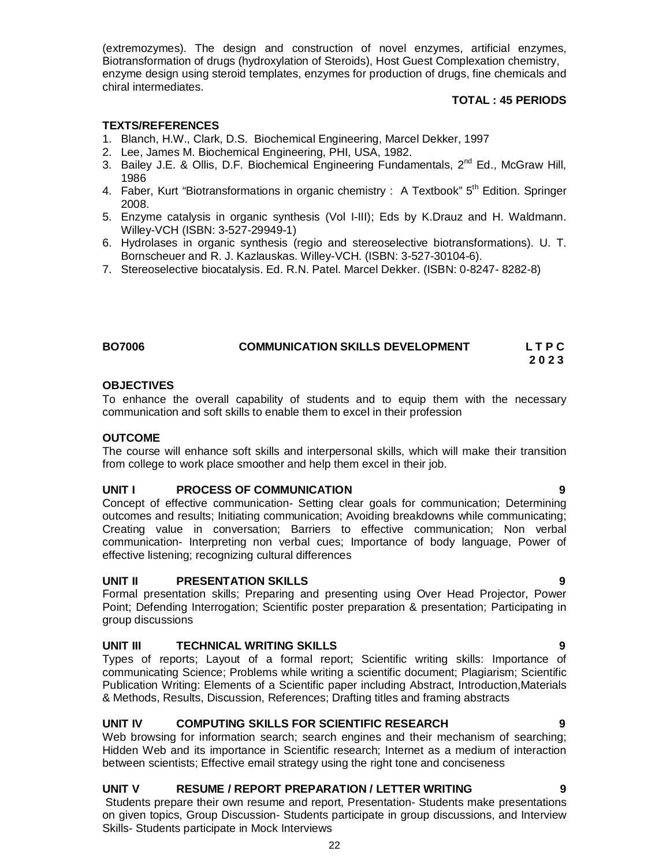(extremozymes). The design and construction of novel enzymes, artificial enzymes, Biotransformation of drugs (hydroxylation of Steroids), Host Guest Complexation chemistry, enzyme design using steroid templates, enzymes for production of drugs, fine chemicals and chiral intermediates.

### **TOTAL : 45 PERIODS**

### **TEXTS/REFERENCES**

- 1. Blanch, H.W., Clark, D.S. Biochemical Engineering, Marcel Dekker, 1997
- 2. Lee, James M. Biochemical Engineering, PHI, USA, 1982.
- 3. Bailey J.E. & Ollis, D.F. Biochemical Engineering Fundamentals, 2<sup>nd</sup> Ed., McGraw Hill, 1986
- 4. Faber, Kurt "Biotransformations in organic chemistry : A Textbook" 5<sup>th</sup> Edition. Springer 2008.
- 5. Enzyme catalysis in organic synthesis (Vol I-III); Eds by K.Drauz and H. Waldmann. Willey-VCH (ISBN: 3-527-29949-1)
- 6. Hydrolases in organic synthesis (regio and stereoselective biotransformations). U. T. Bornscheuer and R. J. Kazlauskas. Willey-VCH. (ISBN: 3-527-30104-6).
- 7. Stereoselective biocatalysis. Ed. R.N. Patel. Marcel Dekker. (ISBN: 0-8247- 8282-8)

### **BO7006 COMMUNICATION SKILLS DEVELOPMENT L T P C 2 0 2 3**

### **OBJECTIVES**

To enhance the overall capability of students and to equip them with the necessary communication and soft skills to enable them to excel in their profession

### **OUTCOME**

The course will enhance soft skills and interpersonal skills, which will make their transition from college to work place smoother and help them excel in their job.

### **UNIT I PROCESS OF COMMUNICATION 9**

Concept of effective communication- Setting clear goals for communication; Determining outcomes and results; Initiating communication; Avoiding breakdowns while communicating; Creating value in conversation; Barriers to effective communication; Non verbal communication- Interpreting non verbal cues; Importance of body language, Power of effective listening; recognizing cultural differences

### **UNIT II PRESENTATION SKILLS 9**

Formal presentation skills; Preparing and presenting using Over Head Projector, Power Point; Defending Interrogation; Scientific poster preparation & presentation; Participating in group discussions

### **UNIT III TECHNICAL WRITING SKILLS 9**

Types of reports; Layout of a formal report; Scientific writing skills: Importance of communicating Science; Problems while writing a scientific document; Plagiarism; Scientific Publication Writing: Elements of a Scientific paper including Abstract, Introduction,Materials & Methods, Results, Discussion, References; Drafting titles and framing abstracts

### **UNIT IV COMPUTING SKILLS FOR SCIENTIFIC RESEARCH 9**

Web browsing for information search; search engines and their mechanism of searching; Hidden Web and its importance in Scientific research; Internet as a medium of interaction between scientists; Effective email strategy using the right tone and conciseness

### **UNIT V RESUME / REPORT PREPARATION / LETTER WRITING 9**

Students prepare their own resume and report, Presentation- Students make presentations on given topics, Group Discussion- Students participate in group discussions, and Interview Skills- Students participate in Mock Interviews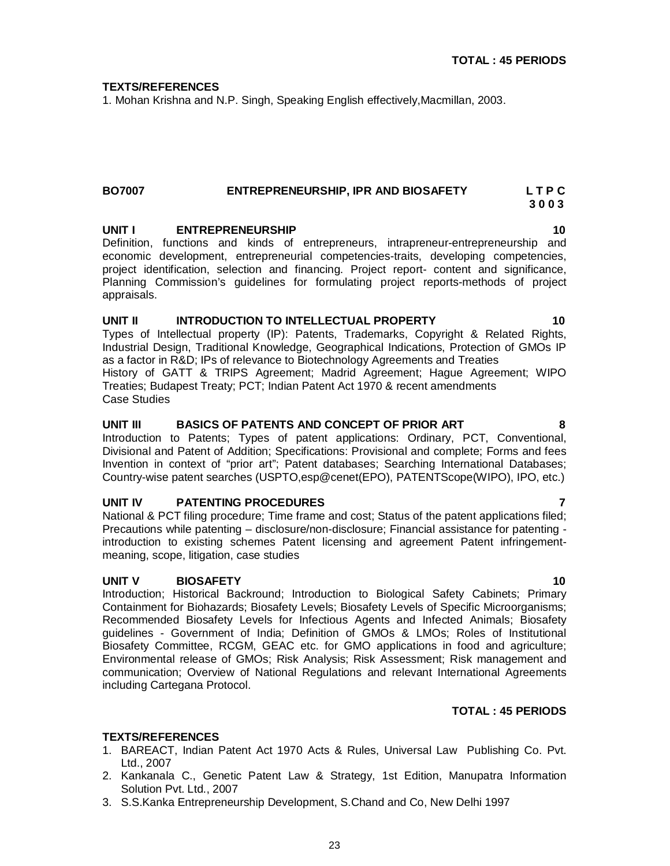### **TEXTS/REFERENCES**

1. Mohan Krishna and N.P. Singh, Speaking English effectively,Macmillan, 2003.

### **BO7007 ENTREPRENEURSHIP, IPR AND BIOSAFETY L T P C 3 0 0 3**

### **UNIT I** ENTREPRENEURSHIP **10 10**

Definition, functions and kinds of entrepreneurs, intrapreneur-entrepreneurship and economic development, entrepreneurial competencies-traits, developing competencies, project identification, selection and financing. Project report- content and significance, Planning Commission's guidelines for formulating project reports-methods of project appraisals.

### **UNIT II INTRODUCTION TO INTELLECTUAL PROPERTY 10** Types of Intellectual property (IP): Patents, Trademarks, Copyright & Related Rights,

Industrial Design, Traditional Knowledge, Geographical Indications, Protection of GMOs IP as a factor in R&D; IPs of relevance to Biotechnology Agreements and Treaties History of GATT & TRIPS Agreement; Madrid Agreement; Hague Agreement; WIPO Treaties; Budapest Treaty; PCT; Indian Patent Act 1970 & recent amendments

Case Studies

### **UNIT III BASICS OF PATENTS AND CONCEPT OF PRIOR ART 8**

Introduction to Patents; Types of patent applications: Ordinary, PCT, Conventional, Divisional and Patent of Addition; Specifications: Provisional and complete; Forms and fees Invention in context of "prior art"; Patent databases; Searching International Databases; Country-wise patent searches (USPTO,esp@cenet(EPO), PATENTScope(WIPO), IPO, etc.)

### UNIT IV PATENTING PROCEDURES

National & PCT filing procedure; Time frame and cost; Status of the patent applications filed; Precautions while patenting – disclosure/non-disclosure; Financial assistance for patenting introduction to existing schemes Patent licensing and agreement Patent infringementmeaning, scope, litigation, case studies

### **UNIT V BIOSAFETY 10**

Introduction; Historical Backround; Introduction to Biological Safety Cabinets; Primary Containment for Biohazards; Biosafety Levels; Biosafety Levels of Specific Microorganisms; Recommended Biosafety Levels for Infectious Agents and Infected Animals; Biosafety guidelines - Government of India; Definition of GMOs & LMOs; Roles of Institutional Biosafety Committee, RCGM, GEAC etc. for GMO applications in food and agriculture; Environmental release of GMOs; Risk Analysis; Risk Assessment; Risk management and communication; Overview of National Regulations and relevant International Agreements including Cartegana Protocol.

### **TOTAL : 45 PERIODS**

### **TEXTS/REFERENCES**

- 1. BAREACT, Indian Patent Act 1970 Acts & Rules, Universal Law Publishing Co. Pvt. Ltd., 2007
- 2. Kankanala C., Genetic Patent Law & Strategy, 1st Edition, Manupatra Information Solution Pvt. Ltd., 2007
- 3. S.S.Kanka Entrepreneurship Development, S.Chand and Co, New Delhi 1997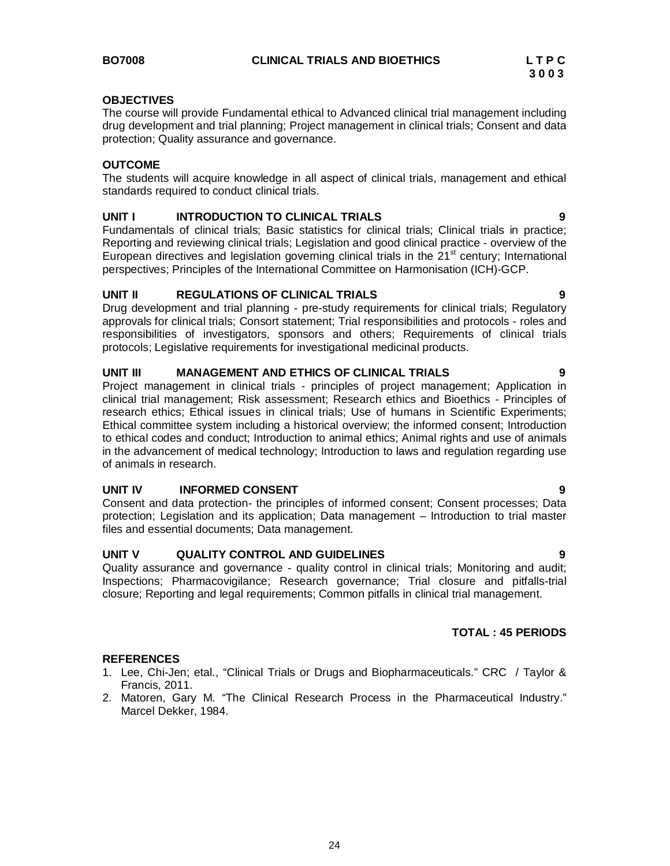### **OBJECTIVES**

The course will provide Fundamental ethical to Advanced clinical trial management including drug development and trial planning; Project management in clinical trials; Consent and data protection; Quality assurance and governance.

### **OUTCOME**

The students will acquire knowledge in all aspect of clinical trials, management and ethical standards required to conduct clinical trials.

### **UNIT I INTRODUCTION TO CLINICAL TRIALS 9**

Fundamentals of clinical trials; Basic statistics for clinical trials; Clinical trials in practice; Reporting and reviewing clinical trials; Legislation and good clinical practice - overview of the European directives and legislation governing clinical trials in the  $21<sup>st</sup>$  century; International perspectives; Principles of the International Committee on Harmonisation (ICH)-GCP.

### **UNIT II REGULATIONS OF CLINICAL TRIALS 9**

Drug development and trial planning - pre-study requirements for clinical trials; Regulatory approvals for clinical trials; Consort statement; Trial responsibilities and protocols - roles and responsibilities of investigators, sponsors and others; Requirements of clinical trials protocols; Legislative requirements for investigational medicinal products.

### **UNIT III MANAGEMENT AND ETHICS OF CLINICAL TRIALS 9**

Project management in clinical trials - principles of project management; Application in clinical trial management; Risk assessment; Research ethics and Bioethics - Principles of research ethics; Ethical issues in clinical trials; Use of humans in Scientific Experiments; Ethical committee system including a historical overview; the informed consent; Introduction to ethical codes and conduct; Introduction to animal ethics; Animal rights and use of animals in the advancement of medical technology; Introduction to laws and regulation regarding use of animals in research.

### **UNIT IV INFORMED CONSENT 9**

Consent and data protection- the principles of informed consent; Consent processes; Data protection; Legislation and its application; Data management – Introduction to trial master files and essential documents; Data management.

### **UNIT V QUALITY CONTROL AND GUIDELINES 9**

Quality assurance and governance - quality control in clinical trials; Monitoring and audit; Inspections; Pharmacovigilance; Research governance; Trial closure and pitfalls-trial closure; Reporting and legal requirements; Common pitfalls in clinical trial management.

### **TOTAL : 45 PERIODS**

### **REFERENCES**

- 1. Lee, Chi-Jen; etal., "Clinical Trials or Drugs and Biopharmaceuticals." CRC / Taylor & Francis, 2011.
- 2. Matoren, Gary M. "The Clinical Research Process in the Pharmaceutical Industry." Marcel Dekker, 1984.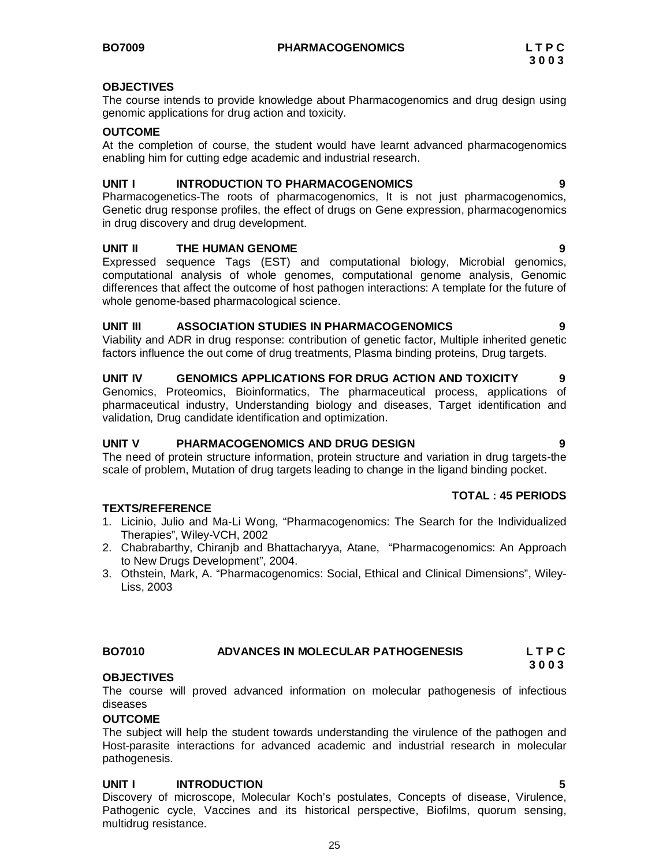### **OBJECTIVES**

The course intends to provide knowledge about Pharmacogenomics and drug design using genomic applications for drug action and toxicity.

### **OUTCOME**

At the completion of course, the student would have learnt advanced pharmacogenomics enabling him for cutting edge academic and industrial research.

### **UNIT I INTRODUCTION TO PHARMACOGENOMICS 9**

Pharmacogenetics-The roots of pharmacogenomics, It is not just pharmacogenomics, Genetic drug response profiles, the effect of drugs on Gene expression, pharmacogenomics in drug discovery and drug development.

### **UNIT II THE HUMAN GENOME 9**

Expressed sequence Tags (EST) and computational biology, Microbial genomics, computational analysis of whole genomes, computational genome analysis, Genomic differences that affect the outcome of host pathogen interactions: A template for the future of whole genome-based pharmacological science.

### **UNIT III ASSOCIATION STUDIES IN PHARMACOGENOMICS 9**

Viability and ADR in drug response: contribution of genetic factor, Multiple inherited genetic factors influence the out come of drug treatments, Plasma binding proteins, Drug targets.

# **UNIT IV GENOMICS APPLICATIONS FOR DRUG ACTION AND TOXICITY 9**

Genomics, Proteomics, Bioinformatics, The pharmaceutical process, applications of pharmaceutical industry, Understanding biology and diseases, Target identification and validation, Drug candidate identification and optimization.

### **UNIT V PHARMACOGENOMICS AND DRUG DESIGN 9**

The need of protein structure information, protein structure and variation in drug targets-the scale of problem, Mutation of drug targets leading to change in the ligand binding pocket.

### **TOTAL : 45 PERIODS**

### **TEXTS/REFERENCE**

- 1. Licinio, Julio and Ma-Li Wong, "Pharmacogenomics: The Search for the Individualized Therapies", Wiley-VCH, 2002
- 2. Chabrabarthy, Chiranjb and Bhattacharyya, Atane, "Pharmacogenomics: An Approach to New Drugs Development", 2004.
- 3. Othstein, Mark, A. "Pharmacogenomics: Social, Ethical and Clinical Dimensions", Wiley-Liss, 2003

### **BO7010 ADVANCES IN MOLECULAR PATHOGENESIS L T P C 3 0 0 3**

### **OBJECTIVES**

The course will proved advanced information on molecular pathogenesis of infectious diseases

### **OUTCOME**

The subject will help the student towards understanding the virulence of the pathogen and Host-parasite interactions for advanced academic and industrial research in molecular pathogenesis.

### **UNIT I INTRODUCTION 5**

Discovery of microscope, Molecular Koch's postulates, Concepts of disease, Virulence, Pathogenic cycle, Vaccines and its historical perspective, Biofilms, quorum sensing, multidrug resistance.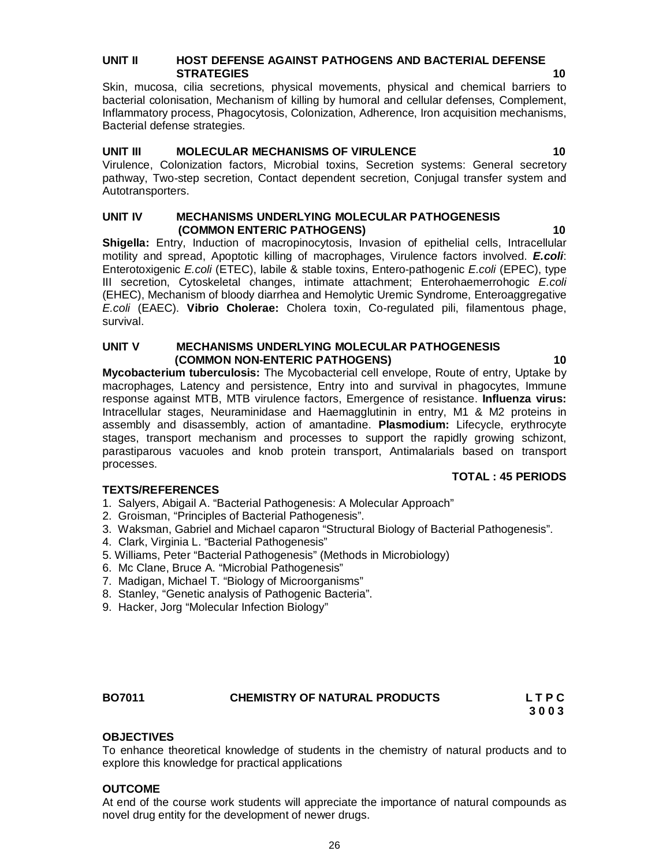### **UNIT II HOST DEFENSE AGAINST PATHOGENS AND BACTERIAL DEFENSE STRATEGIES 10**

Skin, mucosa, cilia secretions, physical movements, physical and chemical barriers to bacterial colonisation, Mechanism of killing by humoral and cellular defenses, Complement, Inflammatory process, Phagocytosis, Colonization, Adherence, Iron acquisition mechanisms, Bacterial defense strategies.

### **UNIT III MOLECULAR MECHANISMS OF VIRULENCE 10**

Virulence, Colonization factors, Microbial toxins, Secretion systems: General secretory pathway, Two-step secretion, Contact dependent secretion, Conjugal transfer system and Autotransporters.

### **UNIT IV MECHANISMS UNDERLYING MOLECULAR PATHOGENESIS (COMMON ENTERIC PATHOGENS) 10**

**Shigella:** Entry, Induction of macropinocytosis, Invasion of epithelial cells, Intracellular motility and spread, Apoptotic killing of macrophages, Virulence factors involved. *E.coli*: Enterotoxigenic *E.coli* (ETEC), labile & stable toxins, Entero-pathogenic *E.coli* (EPEC), type III secretion, Cytoskeletal changes, intimate attachment; Enterohaemerrohogic *E.coli* (EHEC), Mechanism of bloody diarrhea and Hemolytic Uremic Syndrome, Enteroaggregative *E.coli* (EAEC). **Vibrio Cholerae:** Cholera toxin, Co-regulated pili, filamentous phage, survival.

### **UNIT V MECHANISMS UNDERLYING MOLECULAR PATHOGENESIS (COMMON NON-ENTERIC PATHOGENS) 10**

**Mycobacterium tuberculosis:** The Mycobacterial cell envelope, Route of entry, Uptake by macrophages, Latency and persistence, Entry into and survival in phagocytes, Immune response against MTB, MTB virulence factors, Emergence of resistance. **Influenza virus:**  Intracellular stages, Neuraminidase and Haemagglutinin in entry, M1 & M2 proteins in assembly and disassembly, action of amantadine. **Plasmodium:** Lifecycle, erythrocyte stages, transport mechanism and processes to support the rapidly growing schizont, parastiparous vacuoles and knob protein transport, Antimalarials based on transport processes.

### **TOTAL : 45 PERIODS**

### **TEXTS/REFERENCES**

- 1. Salyers, Abigail A. "Bacterial Pathogenesis: A Molecular Approach"
- 2. Groisman, "Principles of Bacterial Pathogenesis".
- 3. Waksman, Gabriel and Michael caparon "Structural Biology of Bacterial Pathogenesis".
- 4. Clark, Virginia L. "Bacterial Pathogenesis"
- 5. Williams, Peter "Bacterial Pathogenesis" (Methods in Microbiology)
- 6. Mc Clane, Bruce A. "Microbial Pathogenesis"
- 7. Madigan, Michael T. "Biology of Microorganisms"
- 8. Stanley, "Genetic analysis of Pathogenic Bacteria".
- 9. Hacker, Jorg "Molecular Infection Biology"

### **BO7011 CHEMISTRY OF NATURAL PRODUCTS L T P C**

 **3 0 0 3**

### **OBJECTIVES**

To enhance theoretical knowledge of students in the chemistry of natural products and to explore this knowledge for practical applications

### **OUTCOME**

At end of the course work students will appreciate the importance of natural compounds as novel drug entity for the development of newer drugs.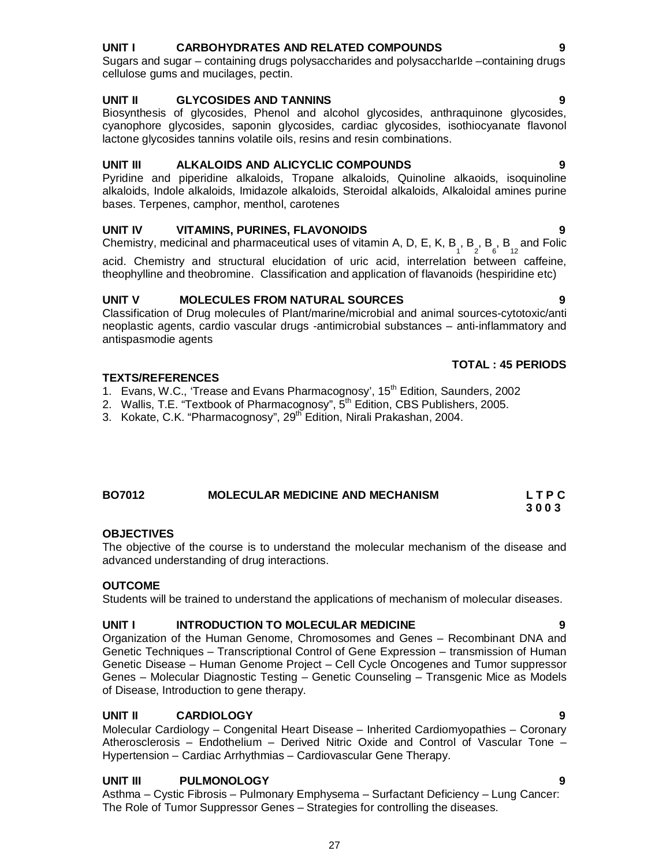# **UNIT I CARBOHYDRATES AND RELATED COMPOUNDS 9**

Sugars and sugar – containing drugs polysaccharides and polysaccharIde –containing drugs cellulose gums and mucilages, pectin.

### **UNIT II GLYCOSIDES AND TANNINS 9**

Biosynthesis of glycosides, Phenol and alcohol glycosides, anthraquinone glycosides, cyanophore glycosides, saponin glycosides, cardiac glycosides, isothiocyanate flavonol lactone glycosides tannins volatile oils, resins and resin combinations.

### **UNIT III ALKALOIDS AND ALICYCLIC COMPOUNDS 9**

Pyridine and piperidine alkaloids, Tropane alkaloids, Quinoline alkaoids, isoquinoline alkaloids, Indole alkaloids, Imidazole alkaloids, Steroidal alkaloids, Alkaloidal amines purine bases. Terpenes, camphor, menthol, carotenes

### **UNIT IV VITAMINS, PURINES, FLAVONOIDS 9**

Chemistry, medicinal and pharmaceutical uses of vitamin A, D, E, K, B<sub>1</sub>, B<sub>2</sub>, B<sub>6</sub>, B<sub>12</sub> and Folic

acid. Chemistry and structural elucidation of uric acid, interrelation between caffeine, theophylline and theobromine. Classification and application of flavanoids (hespiridine etc)

### **UNIT V MOLECULES FROM NATURAL SOURCES 9**

Classification of Drug molecules of Plant/marine/microbial and animal sources-cytotoxic/anti neoplastic agents, cardio vascular drugs -antimicrobial substances – anti-inflammatory and antispasmodie agents

### **TEXTS/REFERENCES**

- 1. Evans, W.C., 'Trease and Evans Pharmacognosy', 15<sup>th</sup> Edition, Saunders, 2002
- 2. Wallis, T.E. "Textbook of Pharmacognosy", 5<sup>th</sup> Edition, CBS Publishers, 2005.
- 3. Kokate, C.K. "Pharmacognosy", 29<sup>th</sup> Edition, Nirali Prakashan, 2004.

### **BO7012 MOLECULAR MEDICINE AND MECHANISM L T P C 3 0 0 3**

### **OBJECTIVES**

The objective of the course is to understand the molecular mechanism of the disease and advanced understanding of drug interactions.

### **OUTCOME**

Students will be trained to understand the applications of mechanism of molecular diseases.

### **UNIT I INTRODUCTION TO MOLECULAR MEDICINE 9**

Organization of the Human Genome, Chromosomes and Genes – Recombinant DNA and Genetic Techniques – Transcriptional Control of Gene Expression – transmission of Human Genetic Disease – Human Genome Project – Cell Cycle Oncogenes and Tumor suppressor Genes – Molecular Diagnostic Testing – Genetic Counseling – Transgenic Mice as Models of Disease, Introduction to gene therapy.

### **UNIT II CARDIOLOGY 9**

Molecular Cardiology – Congenital Heart Disease – Inherited Cardiomyopathies – Coronary Atherosclerosis – Endothelium – Derived Nitric Oxide and Control of Vascular Tone – Hypertension – Cardiac Arrhythmias – Cardiovascular Gene Therapy.

### **UNIT III PULMONOLOGY 9**

Asthma – Cystic Fibrosis – Pulmonary Emphysema – Surfactant Deficiency – Lung Cancer: The Role of Tumor Suppressor Genes – Strategies for controlling the diseases.

### **TOTAL : 45 PERIODS**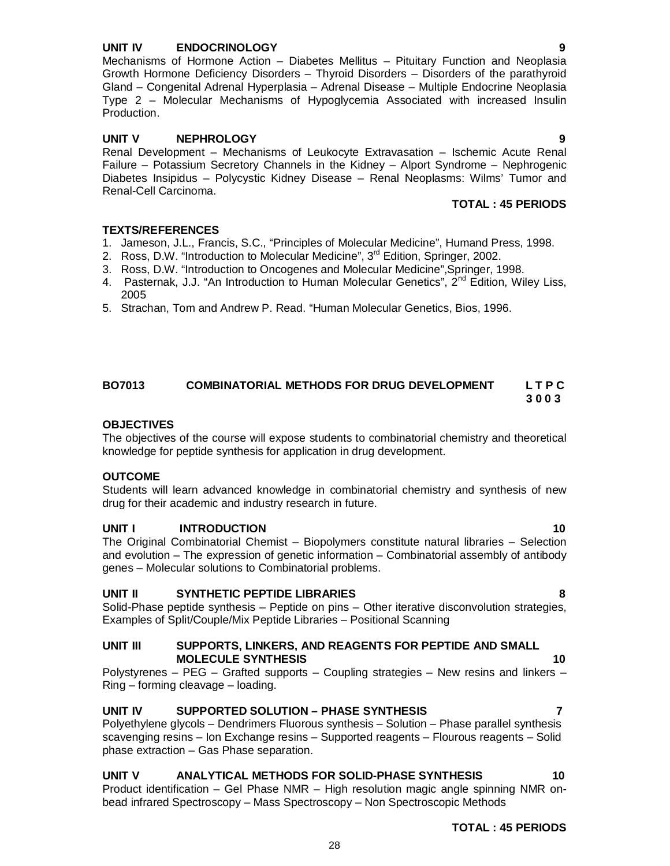### **UNIT IV ENDOCRINOLOGY 9**

Mechanisms of Hormone Action – Diabetes Mellitus – Pituitary Function and Neoplasia Growth Hormone Deficiency Disorders – Thyroid Disorders – Disorders of the parathyroid Gland – Congenital Adrenal Hyperplasia – Adrenal Disease – Multiple Endocrine Neoplasia Type 2 – Molecular Mechanisms of Hypoglycemia Associated with increased Insulin Production.

### **UNIT V NEPHROLOGY 9**

Renal Development – Mechanisms of Leukocyte Extravasation – Ischemic Acute Renal Failure – Potassium Secretory Channels in the Kidney – Alport Syndrome – Nephrogenic Diabetes Insipidus – Polycystic Kidney Disease – Renal Neoplasms: Wilms' Tumor and Renal-Cell Carcinoma.

### **TOTAL : 45 PERIODS**

### **TEXTS/REFERENCES**

- 1. Jameson, J.L., Francis, S.C., "Principles of Molecular Medicine", Humand Press, 1998.
- 2. Ross, D.W. "Introduction to Molecular Medicine", 3<sup>rd</sup> Edition, Springer, 2002.
- 3. Ross, D.W. "Introduction to Oncogenes and Molecular Medicine",Springer, 1998.
- 4. Pasternak, J.J. "An Introduction to Human Molecular Genetics",  $2^{nd}$  Edition, Wiley Liss, 2005
- 5. Strachan, Tom and Andrew P. Read. "Human Molecular Genetics, Bios, 1996.

### **BO7013 COMBINATORIAL METHODS FOR DRUG DEVELOPMENT L T P C 3 0 0 3**

### **OBJECTIVES**

The objectives of the course will expose students to combinatorial chemistry and theoretical knowledge for peptide synthesis for application in drug development.

### **OUTCOME**

Students will learn advanced knowledge in combinatorial chemistry and synthesis of new drug for their academic and industry research in future.

### **UNIT I INTRODUCTION 10**

The Original Combinatorial Chemist – Biopolymers constitute natural libraries – Selection and evolution – The expression of genetic information – Combinatorial assembly of antibody genes – Molecular solutions to Combinatorial problems.

### **UNIT II SYNTHETIC PEPTIDE LIBRARIES 8**

Solid-Phase peptide synthesis – Peptide on pins – Other iterative disconvolution strategies, Examples of Split/Couple/Mix Peptide Libraries – Positional Scanning

### **UNIT III SUPPORTS, LINKERS, AND REAGENTS FOR PEPTIDE AND SMALL MOLECULE SYNTHESIS** 10

Polystyrenes – PEG – Grafted supports – Coupling strategies – New resins and linkers – Ring – forming cleavage – loading.

### **UNIT IV SUPPORTED SOLUTION – PHASE SYNTHESIS 7**

Polyethylene glycols – Dendrimers Fluorous synthesis – Solution – Phase parallel synthesis scavenging resins – Ion Exchange resins – Supported reagents – Flourous reagents – Solid phase extraction – Gas Phase separation.

### UNIT V ANALYTICAL METHODS FOR SOLID-PHASE SYNTHESIS **10**

Product identification – Gel Phase NMR – High resolution magic angle spinning NMR onbead infrared Spectroscopy – Mass Spectroscopy – Non Spectroscopic Methods

28

**TOTAL : 45 PERIODS**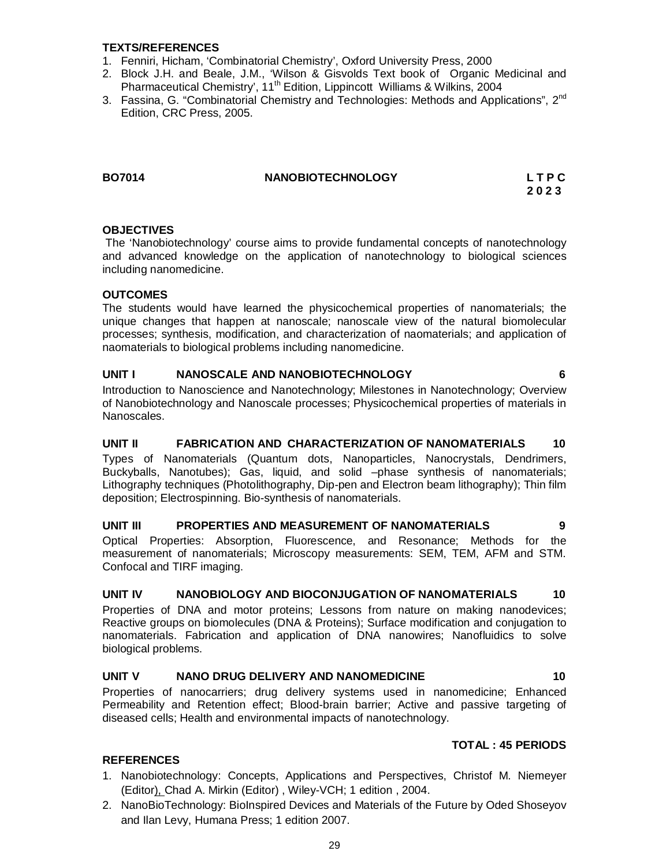### **TEXTS/REFERENCES**

- 1. Fenniri, Hicham, 'Combinatorial Chemistry', Oxford University Press, 2000
- 2. Block J.H. and Beale, J.M., 'Wilson & Gisvolds Text book of Organic Medicinal and Pharmaceutical Chemistry', 11<sup>th</sup> Edition, Lippincott Williams & Wilkins, 2004
- 3. Fassina, G. "Combinatorial Chemistry and Technologies: Methods and Applications", 2<sup>nd</sup> Edition, CRC Press, 2005.

### **BOXOBIOTECHNOLOGY** L T P C

 **2 0 2 3**

### **OBJECTIVES**

The 'Nanobiotechnology' course aims to provide fundamental concepts of nanotechnology and advanced knowledge on the application of nanotechnology to biological sciences including nanomedicine.

### **OUTCOMES**

The students would have learned the physicochemical properties of nanomaterials; the unique changes that happen at nanoscale; nanoscale view of the natural biomolecular processes; synthesis, modification, and characterization of naomaterials; and application of naomaterials to biological problems including nanomedicine.

### **UNIT I NANOSCALE AND NANOBIOTECHNOLOGY 6**

Introduction to Nanoscience and Nanotechnology; Milestones in Nanotechnology; Overview of Nanobiotechnology and Nanoscale processes; Physicochemical properties of materials in Nanoscales.

### **UNIT II FABRICATION AND CHARACTERIZATION OF NANOMATERIALS 10** Types of Nanomaterials (Quantum dots, Nanoparticles, Nanocrystals, Dendrimers, Buckyballs, Nanotubes); Gas, liquid, and solid –phase synthesis of nanomaterials; Lithography techniques (Photolithography, Dip-pen and Electron beam lithography); Thin film deposition; Electrospinning. Bio-synthesis of nanomaterials.

### **UNIT III PROPERTIES AND MEASUREMENT OF NANOMATERIALS 9**

Optical Properties: Absorption, Fluorescence, and Resonance; Methods for the measurement of nanomaterials; Microscopy measurements: SEM, TEM, AFM and STM. Confocal and TIRF imaging.

### **UNIT IV NANOBIOLOGY AND BIOCONJUGATION OF NANOMATERIALS 10**

Properties of DNA and motor proteins; Lessons from nature on making nanodevices; Reactive groups on biomolecules (DNA & Proteins); Surface modification and conjugation to nanomaterials. Fabrication and application of DNA nanowires; Nanofluidics to solve biological problems.

### **UNIT V NANO DRUG DELIVERY AND NANOMEDICINE 10**

Properties of nanocarriers; drug delivery systems used in nanomedicine; Enhanced Permeability and Retention effect; Blood-brain barrier; Active and passive targeting of diseased cells; Health and environmental impacts of nanotechnology.

### **TOTAL : 45 PERIODS**

### **REFERENCES**

- 1. Nanobiotechnology: Concepts, Applications and Perspectives, Christof M. Niemeyer (Editor), Chad A. Mirkin (Editor) , Wiley-VCH; 1 edition , 2004.
- 2. NanoBioTechnology: BioInspired Devices and Materials of the Future by Oded Shoseyov and Ilan Levy, Humana Press; 1 edition 2007.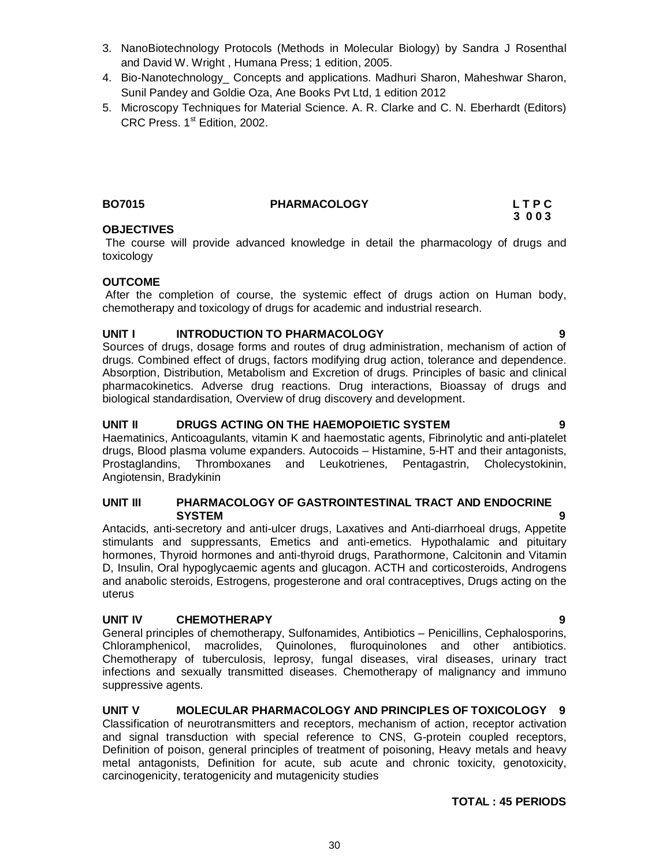- 3. NanoBiotechnology Protocols (Methods in Molecular Biology) by Sandra J Rosenthal and David W. Wright , Humana Press; 1 edition, 2005.
- 4. Bio-Nanotechnology\_ Concepts and applications. Madhuri Sharon, Maheshwar Sharon, Sunil Pandey and Goldie Oza, Ane Books Pvt Ltd, 1 edition 2012
- 5. Microscopy Techniques for Material Science. A. R. Clarke and C. N. Eberhardt (Editors) CRC Press. 1st Edition, 2002.

### **BO7015 PHARMACOLOGY L T P C**

### **OBJECTIVES**

The course will provide advanced knowledge in detail the pharmacology of drugs and toxicology

### **OUTCOME**

After the completion of course, the systemic effect of drugs action on Human body, chemotherapy and toxicology of drugs for academic and industrial research.

### **UNIT I INTRODUCTION TO PHARMACOLOGY 9**

Sources of drugs, dosage forms and routes of drug administration, mechanism of action of drugs. Combined effect of drugs, factors modifying drug action, tolerance and dependence. Absorption, Distribution, Metabolism and Excretion of drugs. Principles of basic and clinical pharmacokinetics. Adverse drug reactions. Drug interactions, Bioassay of drugs and biological standardisation, Overview of drug discovery and development.

### **UNIT II DRUGS ACTING ON THE HAEMOPOIETIC SYSTEM 9**

Haematinics, Anticoagulants, vitamin K and haemostatic agents, Fibrinolytic and anti-platelet drugs, Blood plasma volume expanders. Autocoids – Histamine, 5-HT and their antagonists, Prostaglandins, Thromboxanes and Leukotrienes, Pentagastrin, Cholecystokinin, Angiotensin, Bradykinin

### **UNIT III PHARMACOLOGY OF GASTROINTESTINAL TRACT AND ENDOCRINE SYSTEM 9**

Antacids, anti-secretory and anti-ulcer drugs, Laxatives and Anti-diarrhoeal drugs, Appetite stimulants and suppressants, Emetics and anti-emetics. Hypothalamic and pituitary hormones, Thyroid hormones and anti-thyroid drugs, Parathormone, Calcitonin and Vitamin D, Insulin, Oral hypoglycaemic agents and glucagon. ACTH and corticosteroids, Androgens and anabolic steroids, Estrogens, progesterone and oral contraceptives, Drugs acting on the uterus

### **UNIT IV CHEMOTHERAPY 9**

General principles of chemotherapy, Sulfonamides, Antibiotics – Penicillins, Cephalosporins, Chloramphenicol, macrolides, Quinolones, fluroquinolones and other antibiotics. Chemotherapy of tuberculosis, leprosy, fungal diseases, viral diseases, urinary tract infections and sexually transmitted diseases. Chemotherapy of malignancy and immuno suppressive agents.

### **UNIT V MOLECULAR PHARMACOLOGY AND PRINCIPLES OF TOXICOLOGY 9**

Classification of neurotransmitters and receptors, mechanism of action, receptor activation and signal transduction with special reference to CNS, G-protein coupled receptors, Definition of poison, general principles of treatment of poisoning, Heavy metals and heavy metal antagonists, Definition for acute, sub acute and chronic toxicity, genotoxicity, carcinogenicity, teratogenicity and mutagenicity studies

### **TOTAL : 45 PERIODS**

 **3 0 0 3**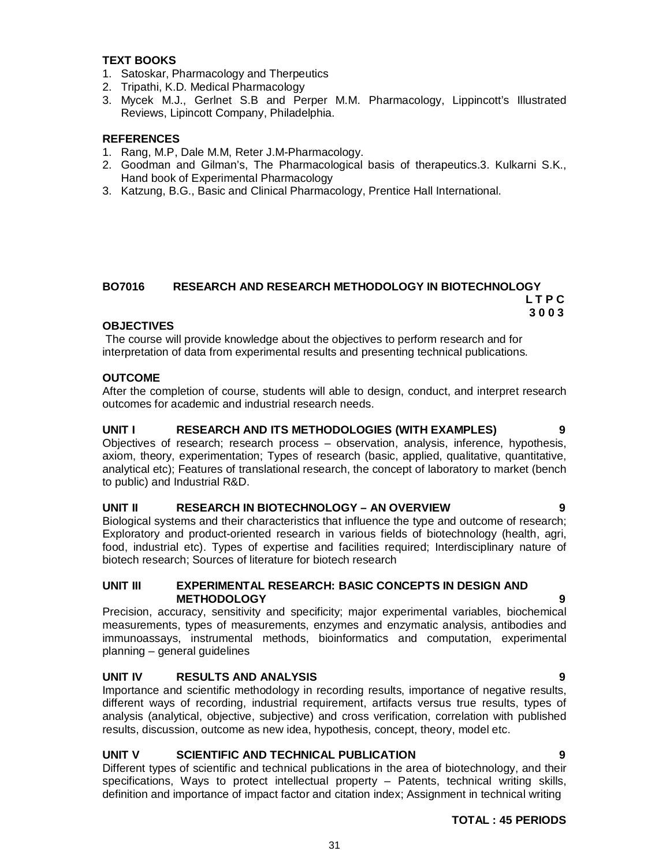### **TEXT BOOKS**

- 1. Satoskar, Pharmacology and Therpeutics
- 2. Tripathi, K.D. Medical Pharmacology
- 3. Mycek M.J., Gerlnet S.B and Perper M.M. Pharmacology, Lippincott's Illustrated Reviews, Lipincott Company, Philadelphia.

### **REFERENCES**

- 1. Rang, M.P, Dale M.M, Reter J.M-Pharmacology.
- 2. Goodman and Gilman's, The Pharmacological basis of therapeutics.3. Kulkarni S.K., Hand book of Experimental Pharmacology
- 3. Katzung, B.G., Basic and Clinical Pharmacology, Prentice Hall International.

### **BO7016 RESEARCH AND RESEARCH METHODOLOGY IN BIOTECHNOLOGY L T P C 3 0 0 3**

### **OBJECTIVES**

The course will provide knowledge about the objectives to perform research and for interpretation of data from experimental results and presenting technical publications.

### **OUTCOME**

After the completion of course, students will able to design, conduct, and interpret research outcomes for academic and industrial research needs.

### **UNIT I RESEARCH AND ITS METHODOLOGIES (WITH EXAMPLES) 9**

Objectives of research; research process – observation, analysis, inference, hypothesis, axiom, theory, experimentation; Types of research (basic, applied, qualitative, quantitative, analytical etc); Features of translational research, the concept of laboratory to market (bench to public) and Industrial R&D.

### **UNIT II RESEARCH IN BIOTECHNOLOGY – AN OVERVIEW 9**

Biological systems and their characteristics that influence the type and outcome of research; Exploratory and product-oriented research in various fields of biotechnology (health, agri, food, industrial etc). Types of expertise and facilities required; Interdisciplinary nature of biotech research; Sources of literature for biotech research

### **UNIT III EXPERIMENTAL RESEARCH: BASIC CONCEPTS IN DESIGN AND METHODOLOGY 9**

Precision, accuracy, sensitivity and specificity; major experimental variables, biochemical measurements, types of measurements, enzymes and enzymatic analysis, antibodies and immunoassays, instrumental methods, bioinformatics and computation, experimental planning – general guidelines

### **UNIT IV RESULTS AND ANALYSIS 9**

Importance and scientific methodology in recording results, importance of negative results, different ways of recording, industrial requirement, artifacts versus true results, types of analysis (analytical, objective, subjective) and cross verification, correlation with published results, discussion, outcome as new idea, hypothesis, concept, theory, model etc.

### **UNIT V SCIENTIFIC AND TECHNICAL PUBLICATION 9**

Different types of scientific and technical publications in the area of biotechnology, and their specifications, Ways to protect intellectual property – Patents, technical writing skills, definition and importance of impact factor and citation index; Assignment in technical writing

### **TOTAL : 45 PERIODS**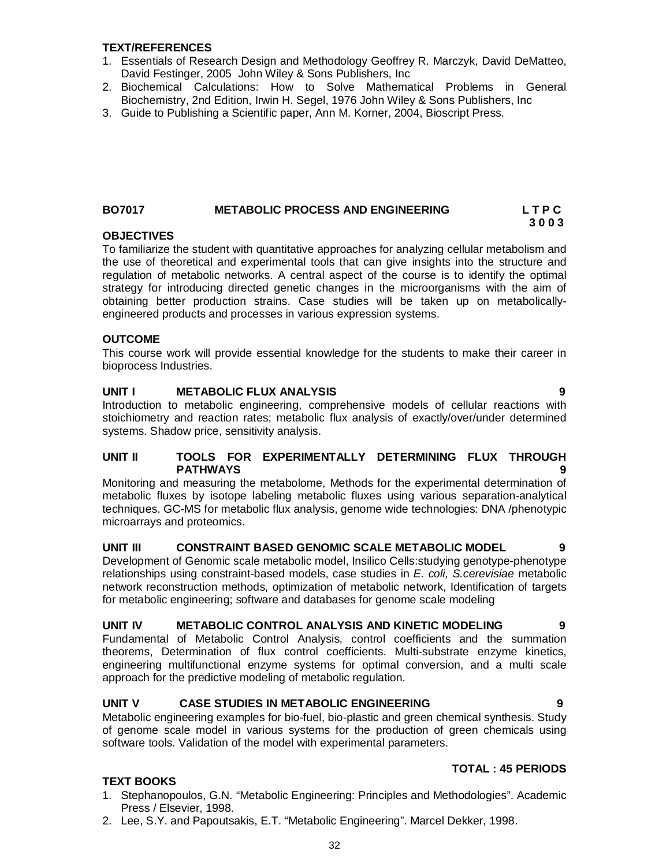### **TEXT/REFERENCES**

- 1. Essentials of Research Design and Methodology Geoffrey R. Marczyk, David DeMatteo, David Festinger, 2005 John Wiley & Sons Publishers, Inc
- 2. Biochemical Calculations: How to Solve Mathematical Problems in General Biochemistry, 2nd Edition, Irwin H. Segel, 1976 John Wiley & Sons Publishers, Inc
- 3. Guide to Publishing a Scientific paper, Ann M. Korner, 2004, Bioscript Press.

### **BO7017 METABOLIC PROCESS AND ENGINEERING L T P C 3 0 0 3**

### **OBJECTIVES**

To familiarize the student with quantitative approaches for analyzing cellular metabolism and the use of theoretical and experimental tools that can give insights into the structure and regulation of metabolic networks. A central aspect of the course is to identify the optimal strategy for introducing directed genetic changes in the microorganisms with the aim of obtaining better production strains. Case studies will be taken up on metabolicallyengineered products and processes in various expression systems.

### **OUTCOME**

**TEXT BOOKS** 

This course work will provide essential knowledge for the students to make their career in bioprocess Industries.

### **UNIT I METABOLIC FLUX ANALYSIS 9**

Introduction to metabolic engineering, comprehensive models of cellular reactions with stoichiometry and reaction rates; metabolic flux analysis of exactly/over/under determined systems. Shadow price, sensitivity analysis.

### **UNIT II TOOLS FOR EXPERIMENTALLY DETERMINING FLUX THROUGH PATHWAYS 9**

Monitoring and measuring the metabolome, Methods for the experimental determination of metabolic fluxes by isotope labeling metabolic fluxes using various separation-analytical techniques. GC-MS for metabolic flux analysis, genome wide technologies: DNA /phenotypic microarrays and proteomics.

### **UNIT III CONSTRAINT BASED GENOMIC SCALE METABOLIC MODEL 9**

Development of Genomic scale metabolic model, Insilico Cells:studying genotype-phenotype relationships using constraint-based models, case studies in *E. coli, S.cerevisiae* metabolic network reconstruction methods, optimization of metabolic network, Identification of targets for metabolic engineering; software and databases for genome scale modeling

### **UNIT IV METABOLIC CONTROL ANALYSIS AND KINETIC MODELING 9**

Fundamental of Metabolic Control Analysis, control coefficients and the summation theorems, Determination of flux control coefficients. Multi-substrate enzyme kinetics, engineering multifunctional enzyme systems for optimal conversion, and a multi scale approach for the predictive modeling of metabolic regulation.

### **UNIT V CASE STUDIES IN METABOLIC ENGINEERING 9**

Metabolic engineering examples for bio-fuel, bio-plastic and green chemical synthesis. Study of genome scale model in various systems for the production of green chemicals using software tools. Validation of the model with experimental parameters.

### **TOTAL : 45 PERIODS**

- 1. Stephanopoulos, G.N. "Metabolic Engineering: Principles and Methodologies". Academic Press / Elsevier, 1998.
- 2. Lee, S.Y. and Papoutsakis, E.T. "Metabolic Engineering". Marcel Dekker, 1998.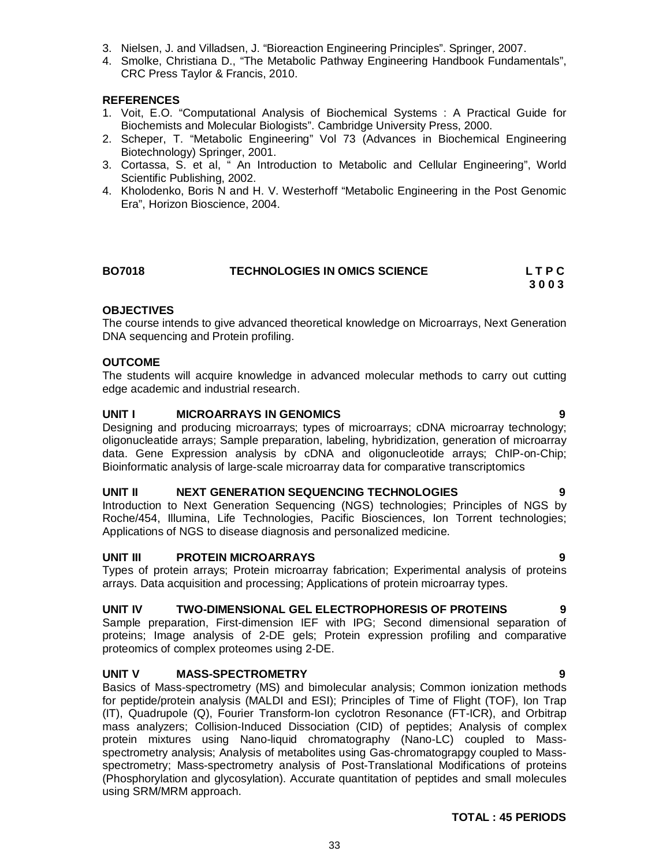- 3. Nielsen, J. and Villadsen, J. "Bioreaction Engineering Principles". Springer, 2007.
- 4. Smolke, Christiana D., "The Metabolic Pathway Engineering Handbook Fundamentals", CRC Press Taylor & Francis, 2010.

### **REFERENCES**

- 1. Voit, E.O. "Computational Analysis of Biochemical Systems : A Practical Guide for Biochemists and Molecular Biologists". Cambridge University Press, 2000.
- 2. Scheper, T. "Metabolic Engineering" Vol 73 (Advances in Biochemical Engineering Biotechnology) Springer, 2001.
- 3. Cortassa, S. et al, " An Introduction to Metabolic and Cellular Engineering", World Scientific Publishing, 2002.
- 4. Kholodenko, Boris N and H. V. Westerhoff "Metabolic Engineering in the Post Genomic Era", Horizon Bioscience, 2004.

| <b>BO7018</b> | TECHNOLOGIES IN OMICS SCIENCE | LTPC |
|---------------|-------------------------------|------|
|               |                               | 3003 |

### **OBJECTIVES**

The course intends to give advanced theoretical knowledge on Microarrays, Next Generation DNA sequencing and Protein profiling.

### **OUTCOME**

The students will acquire knowledge in advanced molecular methods to carry out cutting edge academic and industrial research.

### **UNIT I MICROARRAYS IN GENOMICS 9**

Designing and producing microarrays; types of microarrays; cDNA microarray technology; oligonucleatide arrays; Sample preparation, labeling, hybridization, generation of microarray data. Gene Expression analysis by cDNA and oligonucleotide arrays; ChIP-on-Chip; Bioinformatic analysis of large-scale microarray data for comparative transcriptomics

### **UNIT II NEXT GENERATION SEQUENCING TECHNOLOGIES 9**

Introduction to Next Generation Sequencing (NGS) technologies; Principles of NGS by Roche/454, Illumina, Life Technologies, Pacific Biosciences, Ion Torrent technologies; Applications of NGS to disease diagnosis and personalized medicine.

### **UNIT III PROTEIN MICROARRAYS 9**

Types of protein arrays; Protein microarray fabrication; Experimental analysis of proteins arrays. Data acquisition and processing; Applications of protein microarray types.

### **UNIT IV TWO-DIMENSIONAL GEL ELECTROPHORESIS OF PROTEINS 9**

Sample preparation, First-dimension IEF with IPG; Second dimensional separation of proteins; Image analysis of 2-DE gels; Protein expression profiling and comparative proteomics of complex proteomes using 2-DE.

### **UNIT V MASS-SPECTROMETRY 9**

Basics of Mass-spectrometry (MS) and bimolecular analysis; Common ionization methods for peptide/protein analysis (MALDI and ESI); Principles of Time of Flight (TOF), Ion Trap (IT), Quadrupole (Q), Fourier Transform-Ion cyclotron Resonance (FT-ICR), and Orbitrap mass analyzers; Collision-Induced Dissociation (CID) of peptides; Analysis of complex protein mixtures using Nano-liquid chromatography (Nano-LC) coupled to Massspectrometry analysis; Analysis of metabolites using Gas-chromatograpgy coupled to Massspectrometry; Mass-spectrometry analysis of Post-Translational Modifications of proteins (Phosphorylation and glycosylation). Accurate quantitation of peptides and small molecules using SRM/MRM approach.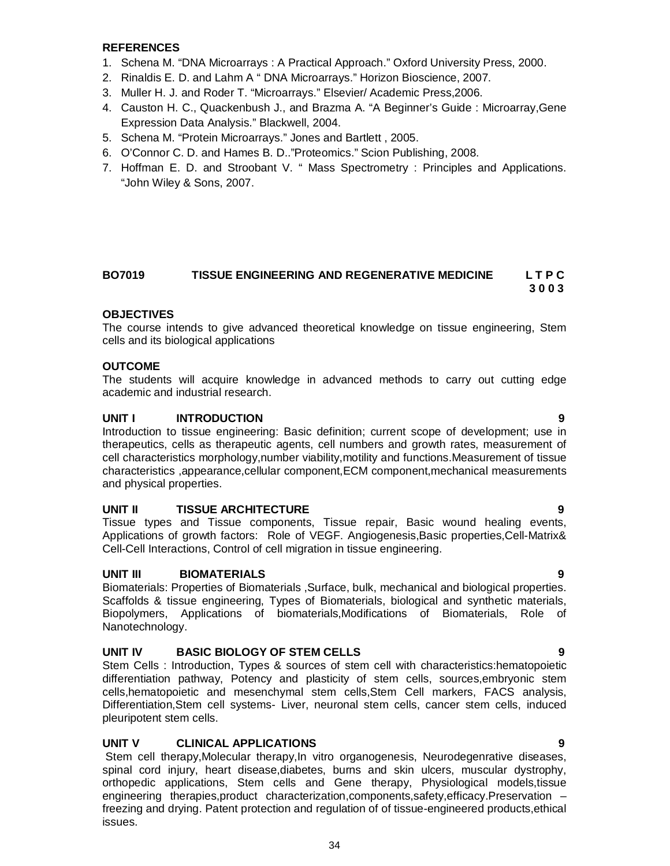### **REFERENCES**

- 1. Schena M. "DNA Microarrays : A Practical Approach." Oxford University Press, 2000.
- 2. Rinaldis E. D. and Lahm A " DNA Microarrays." Horizon Bioscience, 2007.
- 3. Muller H. J. and Roder T. "Microarrays." Elsevier/ Academic Press,2006.
- 4. Causton H. C., Quackenbush J., and Brazma A. "A Beginner's Guide : Microarray,Gene Expression Data Analysis." Blackwell, 2004.
- 5. Schena M. "Protein Microarrays." Jones and Bartlett , 2005.
- 6. O'Connor C. D. and Hames B. D.."Proteomics." Scion Publishing, 2008.
- 7. Hoffman E. D. and Stroobant V. " Mass Spectrometry : Principles and Applications. "John Wiley & Sons, 2007.

### **BO7019 TISSUE ENGINEERING AND REGENERATIVE MEDICINE L T P C 3 0 0 3**

### **OBJECTIVES**

The course intends to give advanced theoretical knowledge on tissue engineering, Stem cells and its biological applications

### **OUTCOME**

The students will acquire knowledge in advanced methods to carry out cutting edge academic and industrial research.

### **UNIT I INTRODUCTION 9**

Introduction to tissue engineering: Basic definition; current scope of development; use in therapeutics, cells as therapeutic agents, cell numbers and growth rates, measurement of cell characteristics morphology,number viability,motility and functions.Measurement of tissue characteristics ,appearance,cellular component,ECM component,mechanical measurements and physical properties.

### **UNIT II TISSUE ARCHITECTURE 9**

Tissue types and Tissue components, Tissue repair, Basic wound healing events, Applications of growth factors: Role of VEGF. Angiogenesis,Basic properties,Cell-Matrix& Cell-Cell Interactions, Control of cell migration in tissue engineering.

### **UNIT III BIOMATERIALS 9**

Biomaterials: Properties of Biomaterials ,Surface, bulk, mechanical and biological properties. Scaffolds & tissue engineering, Types of Biomaterials, biological and synthetic materials, Biopolymers, Applications of biomaterials,Modifications of Biomaterials, Role of Nanotechnology.

### **UNIT IV BASIC BIOLOGY OF STEM CELLS 9**

Stem Cells : Introduction, Types & sources of stem cell with characteristics:hematopoietic differentiation pathway, Potency and plasticity of stem cells, sources,embryonic stem cells,hematopoietic and mesenchymal stem cells,Stem Cell markers, FACS analysis, Differentiation,Stem cell systems- Liver, neuronal stem cells, cancer stem cells, induced pleuripotent stem cells.

### **UNIT V CLINICAL APPLICATIONS 9**

Stem cell therapy,Molecular therapy,In vitro organogenesis, Neurodegenrative diseases, spinal cord injury, heart disease,diabetes, burns and skin ulcers, muscular dystrophy, orthopedic applications, Stem cells and Gene therapy, Physiological models,tissue engineering therapies,product characterization,components,safety,efficacy.Preservation – freezing and drying. Patent protection and regulation of of tissue-engineered products,ethical issues.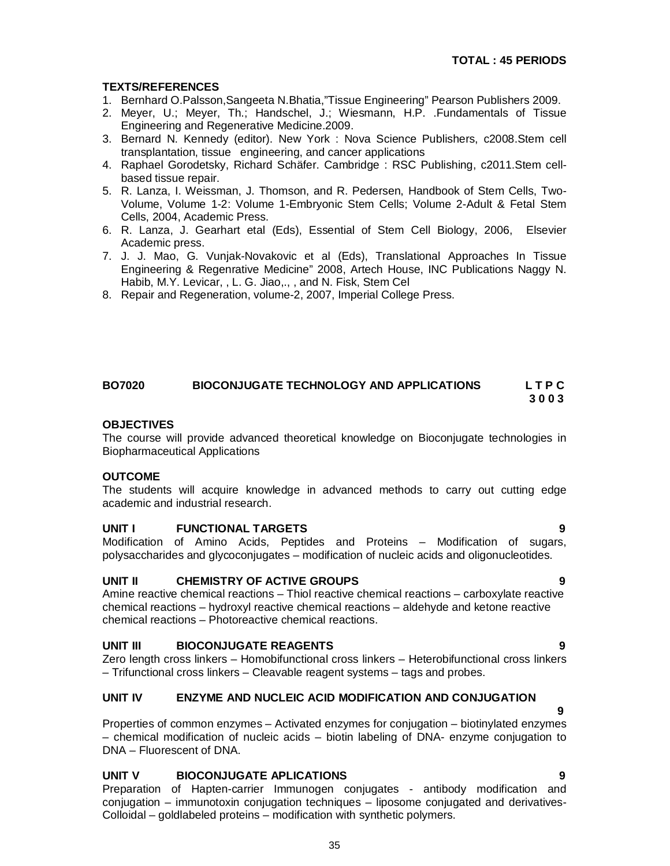### **TEXTS/REFERENCES**

- 1. Bernhard O.Palsson,Sangeeta N.Bhatia,"Tissue Engineering" Pearson Publishers 2009.
- 2. Meyer, U.; Meyer, Th.; Handschel, J.; Wiesmann, H.P. .Fundamentals of Tissue Engineering and Regenerative Medicine.2009.
- 3. Bernard N. Kennedy (editor). New York : Nova Science Publishers, c2008.Stem cell transplantation, tissue engineering, and cancer applications
- 4. Raphael Gorodetsky, Richard Schäfer. Cambridge : RSC Publishing, c2011.Stem cellbased tissue repair.
- 5. R. Lanza, I. Weissman, J. Thomson, and R. Pedersen, Handbook of Stem Cells, Two-Volume, Volume 1-2: Volume 1-Embryonic Stem Cells; Volume 2-Adult & Fetal Stem Cells, 2004, Academic Press.
- 6. R. Lanza, J. Gearhart etal (Eds), Essential of Stem Cell Biology, 2006, Elsevier Academic press.
- 7. J. J. Mao, G. Vunjak-Novakovic et al (Eds), Translational Approaches In Tissue Engineering & Regenrative Medicine" 2008, Artech House, INC Publications Naggy N. Habib, M.Y. Levicar, , L. G. Jiao,., , and N. Fisk, Stem Cel
- 8. Repair and Regeneration, volume-2, 2007, Imperial College Press.

### **BO7020 BIOCONJUGATE TECHNOLOGY AND APPLICATIONS L T P C 3 0 0 3**

### **OBJECTIVES**

The course will provide advanced theoretical knowledge on Bioconjugate technologies in Biopharmaceutical Applications

### **OUTCOME**

The students will acquire knowledge in advanced methods to carry out cutting edge academic and industrial research.

### **UNIT I FUNCTIONAL TARGETS 9**

Modification of Amino Acids, Peptides and Proteins – Modification of sugars, polysaccharides and glycoconjugates – modification of nucleic acids and oligonucleotides.

### **UNIT II CHEMISTRY OF ACTIVE GROUPS 9**

Amine reactive chemical reactions – Thiol reactive chemical reactions – carboxylate reactive chemical reactions – hydroxyl reactive chemical reactions – aldehyde and ketone reactive chemical reactions – Photoreactive chemical reactions.

### **UNIT III BIOCONJUGATE REAGENTS 9**

Zero length cross linkers – Homobifunctional cross linkers – Heterobifunctional cross linkers – Trifunctional cross linkers – Cleavable reagent systems – tags and probes.

### **UNIT IV ENZYME AND NUCLEIC ACID MODIFICATION AND CONJUGATION**

 **9** Properties of common enzymes – Activated enzymes for conjugation – biotinylated enzymes – chemical modification of nucleic acids – biotin labeling of DNA- enzyme conjugation to DNA – Fluorescent of DNA.

### **UNIT V BIOCONJUGATE APLICATIONS 9**

Preparation of Hapten-carrier Immunogen conjugates - antibody modification and conjugation – immunotoxin conjugation techniques – liposome conjugated and derivatives-Colloidal – goldlabeled proteins – modification with synthetic polymers.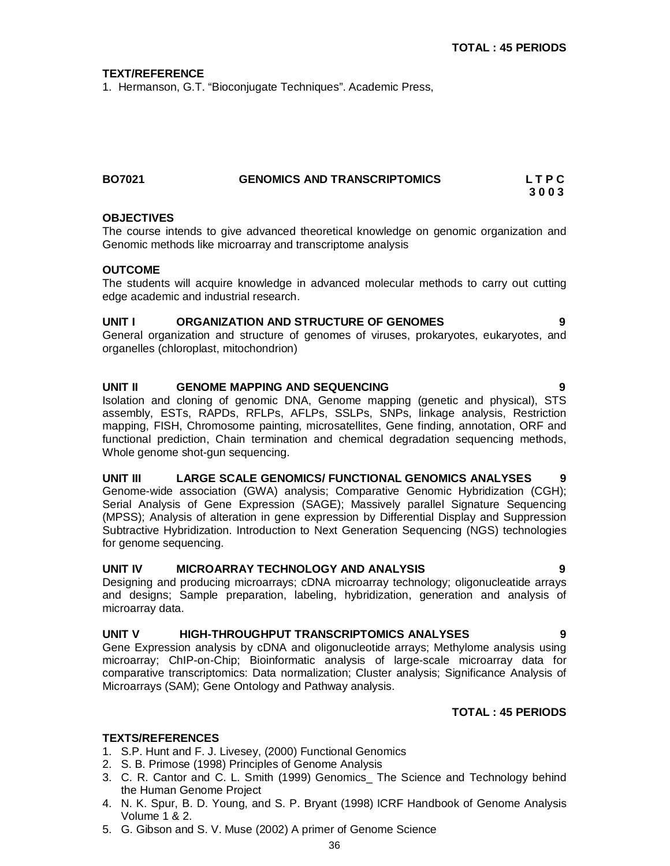### **TEXT/REFERENCE**

1. Hermanson, G.T. "Bioconjugate Techniques". Academic Press,

| <b>BO7021</b> | <b>GENOMICS AND TRANSCRIPTOMICS</b> | LTPC |
|---------------|-------------------------------------|------|
|               |                                     | 3003 |

### **OBJECTIVES**

The course intends to give advanced theoretical knowledge on genomic organization and Genomic methods like microarray and transcriptome analysis

### **OUTCOME**

The students will acquire knowledge in advanced molecular methods to carry out cutting edge academic and industrial research.

### **UNIT I ORGANIZATION AND STRUCTURE OF GENOMES 9**

General organization and structure of genomes of viruses, prokaryotes, eukaryotes, and organelles (chloroplast, mitochondrion)

### **UNIT II GENOME MAPPING AND SEQUENCING 9**

Isolation and cloning of genomic DNA, Genome mapping (genetic and physical), STS assembly, ESTs, RAPDs, RFLPs, AFLPs, SSLPs, SNPs, linkage analysis, Restriction mapping, FISH, Chromosome painting, microsatellites, Gene finding, annotation, ORF and functional prediction, Chain termination and chemical degradation sequencing methods, Whole genome shot-gun sequencing.

### **UNIT III LARGE SCALE GENOMICS/ FUNCTIONAL GENOMICS ANALYSES 9**

Genome-wide association (GWA) analysis; Comparative Genomic Hybridization (CGH); Serial Analysis of Gene Expression (SAGE); Massively parallel Signature Sequencing (MPSS); Analysis of alteration in gene expression by Differential Display and Suppression Subtractive Hybridization. Introduction to Next Generation Sequencing (NGS) technologies for genome sequencing.

### **UNIT IV MICROARRAY TECHNOLOGY AND ANALYSIS 9**

Designing and producing microarrays; cDNA microarray technology; oligonucleatide arrays and designs; Sample preparation, labeling, hybridization, generation and analysis of microarray data.

### **UNIT V HIGH-THROUGHPUT TRANSCRIPTOMICS ANALYSES 9**

Gene Expression analysis by cDNA and oligonucleotide arrays; Methylome analysis using microarray; ChIP-on-Chip; Bioinformatic analysis of large-scale microarray data for comparative transcriptomics: Data normalization; Cluster analysis; Significance Analysis of Microarrays (SAM); Gene Ontology and Pathway analysis.

### **TOTAL : 45 PERIODS**

### **TEXTS/REFERENCES**

- 1. S.P. Hunt and F. J. Livesey, (2000) Functional Genomics
- 2. S. B. Primose (1998) Principles of Genome Analysis
- 3. C. R. Cantor and C. L. Smith (1999) Genomics\_ The Science and Technology behind the Human Genome Project
- 4. N. K. Spur, B. D. Young, and S. P. Bryant (1998) ICRF Handbook of Genome Analysis Volume 1 & 2.
- 5. G. Gibson and S. V. Muse (2002) A primer of Genome Science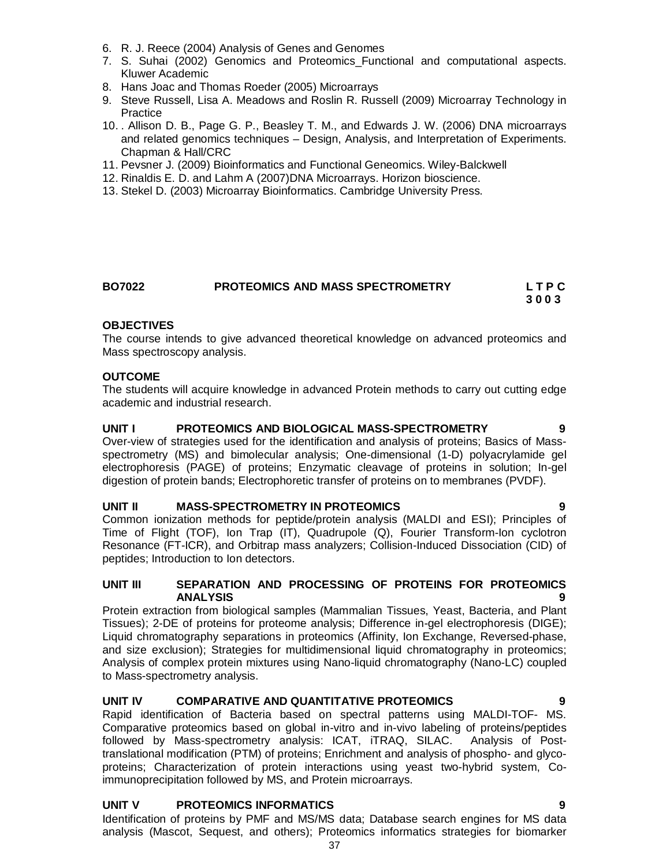- 6. R. J. Reece (2004) Analysis of Genes and Genomes
- 7. S. Suhai (2002) Genomics and Proteomics\_Functional and computational aspects. Kluwer Academic
- 8. Hans Joac and Thomas Roeder (2005) Microarrays
- 9. Steve Russell, Lisa A. Meadows and Roslin R. Russell (2009) Microarray Technology in **Practice**
- 10. . Allison D. B., Page G. P., Beasley T. M., and Edwards J. W. (2006) DNA microarrays and related genomics techniques – Design, Analysis, and Interpretation of Experiments. Chapman & Hall/CRC
- 11. Pevsner J. (2009) Bioinformatics and Functional Geneomics. Wiley-Balckwell
- 12. Rinaldis E. D. and Lahm A (2007)DNA Microarrays. Horizon bioscience.
- 13. Stekel D. (2003) Microarray Bioinformatics. Cambridge University Press.

| <b>BO7022</b> | PROTEOMICS AND MASS SPECTROMETRY | LTPC |
|---------------|----------------------------------|------|
|               |                                  | 3003 |

### **OBJECTIVES**

The course intends to give advanced theoretical knowledge on advanced proteomics and Mass spectroscopy analysis.

### **OUTCOME**

The students will acquire knowledge in advanced Protein methods to carry out cutting edge academic and industrial research.

### **UNIT I PROTEOMICS AND BIOLOGICAL MASS-SPECTROMETRY 9**

Over-view of strategies used for the identification and analysis of proteins; Basics of Massspectrometry (MS) and bimolecular analysis; One-dimensional (1-D) polyacrylamide gel electrophoresis (PAGE) of proteins; Enzymatic cleavage of proteins in solution; In-gel digestion of protein bands; Electrophoretic transfer of proteins on to membranes (PVDF).

### UNIT **II** MASS-SPECTROMETRY IN PROTEOMICS

Common ionization methods for peptide/protein analysis (MALDI and ESI); Principles of Time of Flight (TOF), Ion Trap (IT), Quadrupole (Q), Fourier Transform-Ion cyclotron Resonance (FT-ICR), and Orbitrap mass analyzers; Collision-Induced Dissociation (CID) of peptides; Introduction to Ion detectors.

### **UNIT III SEPARATION AND PROCESSING OF PROTEINS FOR PROTEOMICS ANALYSIS 9**

Protein extraction from biological samples (Mammalian Tissues, Yeast, Bacteria, and Plant Tissues); 2-DE of proteins for proteome analysis; Difference in-gel electrophoresis (DIGE); Liquid chromatography separations in proteomics (Affinity, Ion Exchange, Reversed-phase, and size exclusion); Strategies for multidimensional liquid chromatography in proteomics; Analysis of complex protein mixtures using Nano-liquid chromatography (Nano-LC) coupled to Mass-spectrometry analysis.

### **UNIT IV COMPARATIVE AND QUANTITATIVE PROTEOMICS 9**

Rapid identification of Bacteria based on spectral patterns using MALDI-TOF- MS. Comparative proteomics based on global in-vitro and in-vivo labeling of proteins/peptides followed by Mass-spectrometry analysis: ICAT, iTRAQ, SILAC. Analysis of Posttranslational modification (PTM) of proteins; Enrichment and analysis of phospho- and glycoproteins; Characterization of protein interactions using yeast two-hybrid system, Coimmunoprecipitation followed by MS, and Protein microarrays.

### **UNIT V PROTEOMICS INFORMATICS 9**

Identification of proteins by PMF and MS/MS data; Database search engines for MS data analysis (Mascot, Sequest, and others); Proteomics informatics strategies for biomarker